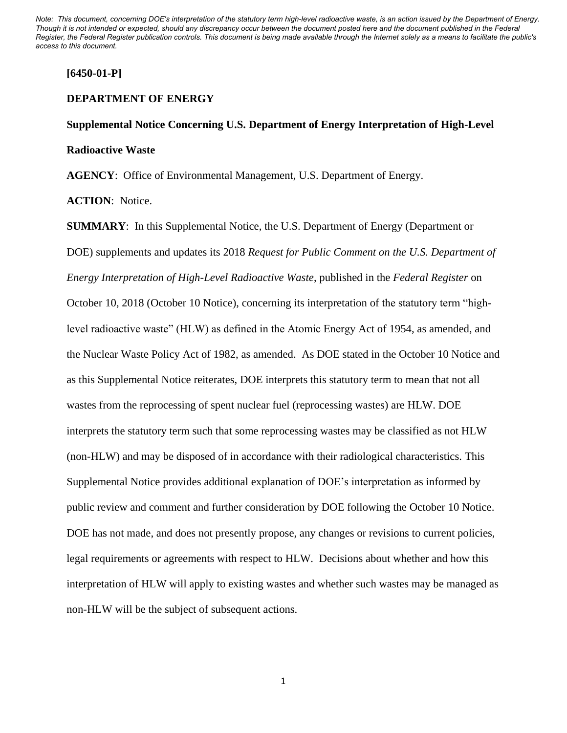## **[6450-01-P]**

#### **DEPARTMENT OF ENERGY**

# **Supplemental Notice Concerning U.S. Department of Energy Interpretation of High-Level Radioactive Waste**

**AGENCY**: Office of Environmental Management, U.S. Department of Energy.

**ACTION**: Notice.

**SUMMARY**: In this Supplemental Notice, the U.S. Department of Energy (Department or DOE) supplements and updates its 2018 *Request for Public Comment on the U.S. Department of Energy Interpretation of High-Level Radioactive Waste*, published in the *Federal Register* on October 10, 2018 (October 10 Notice), concerning its interpretation of the statutory term "highlevel radioactive waste" (HLW) as defined in the Atomic Energy Act of 1954, as amended, and the Nuclear Waste Policy Act of 1982, as amended. As DOE stated in the October 10 Notice and as this Supplemental Notice reiterates, DOE interprets this statutory term to mean that not all wastes from the reprocessing of spent nuclear fuel (reprocessing wastes) are HLW. DOE interprets the statutory term such that some reprocessing wastes may be classified as not HLW (non-HLW) and may be disposed of in accordance with their radiological characteristics. This Supplemental Notice provides additional explanation of DOE's interpretation as informed by public review and comment and further consideration by DOE following the October 10 Notice. DOE has not made, and does not presently propose, any changes or revisions to current policies, legal requirements or agreements with respect to HLW. Decisions about whether and how this interpretation of HLW will apply to existing wastes and whether such wastes may be managed as non-HLW will be the subject of subsequent actions.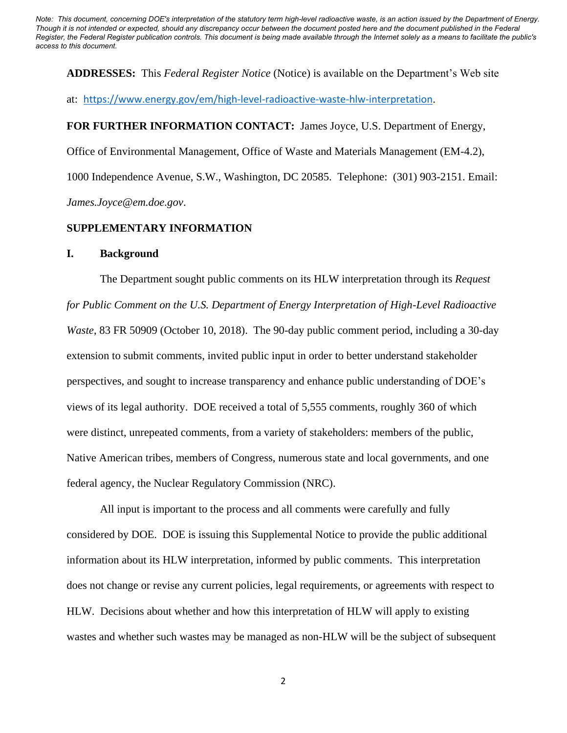**ADDRESSES:** This *Federal Register Notice* (Notice) is available on the Department's Web site

at: <https://www.energy.gov/em/high-level-radioactive-waste-hlw-interpretation>.

## **FOR FURTHER INFORMATION CONTACT:** James Joyce, U.S. Department of Energy,

Office of Environmental Management, Office of Waste and Materials Management (EM-4.2),

1000 Independence Avenue, S.W., Washington, DC 20585. Telephone: (301) 903-2151. Email: *James.Joyce@em.doe.gov*.

## **SUPPLEMENTARY INFORMATION**

#### **I. Background**

The Department sought public comments on its HLW interpretation through its *Request for Public Comment on the U.S. Department of Energy Interpretation of High-Level Radioactive Waste*, 83 FR 50909 (October 10, 2018). The 90-day public comment period, including a 30-day extension to submit comments, invited public input in order to better understand stakeholder perspectives, and sought to increase transparency and enhance public understanding of DOE's views of its legal authority. DOE received a total of 5,555 comments, roughly 360 of which were distinct, unrepeated comments, from a variety of stakeholders: members of the public, Native American tribes, members of Congress, numerous state and local governments, and one federal agency, the Nuclear Regulatory Commission (NRC).

All input is important to the process and all comments were carefully and fully considered by DOE. DOE is issuing this Supplemental Notice to provide the public additional information about its HLW interpretation, informed by public comments. This interpretation does not change or revise any current policies, legal requirements, or agreements with respect to HLW. Decisions about whether and how this interpretation of HLW will apply to existing wastes and whether such wastes may be managed as non-HLW will be the subject of subsequent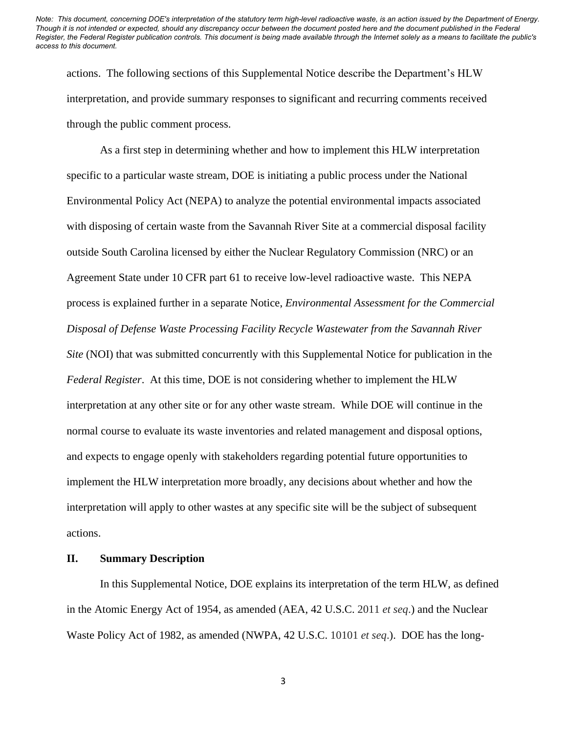actions. The following sections of this Supplemental Notice describe the Department's HLW interpretation, and provide summary responses to significant and recurring comments received through the public comment process.

As a first step in determining whether and how to implement this HLW interpretation specific to a particular waste stream, DOE is initiating a public process under the National Environmental Policy Act (NEPA) to analyze the potential environmental impacts associated with disposing of certain waste from the Savannah River Site at a commercial disposal facility outside South Carolina licensed by either the Nuclear Regulatory Commission (NRC) or an Agreement State under 10 CFR part 61 to receive low-level radioactive waste. This NEPA process is explained further in a separate Notice, *Environmental Assessment for the Commercial Disposal of Defense Waste Processing Facility Recycle Wastewater from the Savannah River Site* (NOI) that was submitted concurrently with this Supplemental Notice for publication in the *Federal Register*. At this time, DOE is not considering whether to implement the HLW interpretation at any other site or for any other waste stream. While DOE will continue in the normal course to evaluate its waste inventories and related management and disposal options, and expects to engage openly with stakeholders regarding potential future opportunities to implement the HLW interpretation more broadly, any decisions about whether and how the interpretation will apply to other wastes at any specific site will be the subject of subsequent actions.

## **II. Summary Description**

In this Supplemental Notice, DOE explains its interpretation of the term HLW, as defined in the Atomic Energy Act of 1954, as amended (AEA, 42 U.S.C. 2011 *et seq*.) and the Nuclear Waste Policy Act of 1982, as amended (NWPA, 42 U.S.C. 10101 *et seq*.). DOE has the long-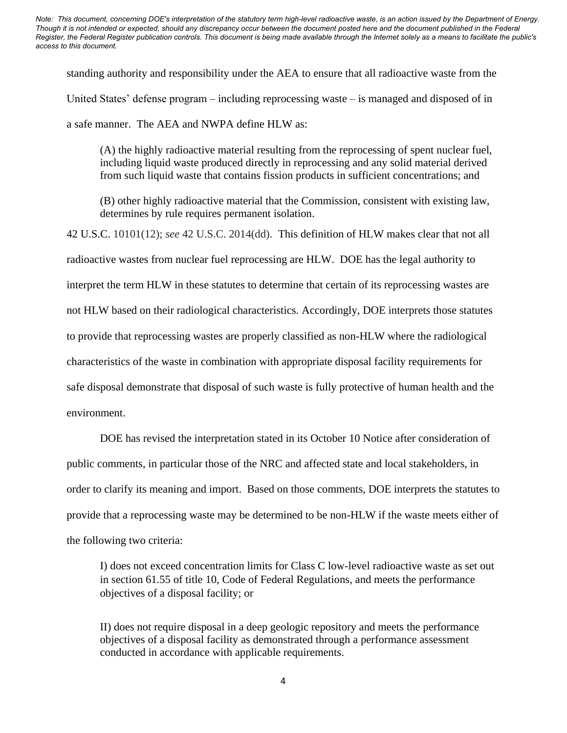standing authority and responsibility under the AEA to ensure that all radioactive waste from the United States' defense program – including reprocessing waste – is managed and disposed of in a safe manner. The AEA and NWPA define HLW as:

(A) the highly radioactive material resulting from the reprocessing of spent nuclear fuel, including liquid waste produced directly in reprocessing and any solid material derived from such liquid waste that contains fission products in sufficient concentrations; and

(B) other highly radioactive material that the Commission, consistent with existing law, determines by rule requires permanent isolation.

42 U.S.C. 10101(12); *see* 42 U.S.C. 2014(dd). This definition of HLW makes clear that not all radioactive wastes from nuclear fuel reprocessing are HLW. DOE has the legal authority to interpret the term HLW in these statutes to determine that certain of its reprocessing wastes are not HLW based on their radiological characteristics. Accordingly, DOE interprets those statutes to provide that reprocessing wastes are properly classified as non-HLW where the radiological characteristics of the waste in combination with appropriate disposal facility requirements for safe disposal demonstrate that disposal of such waste is fully protective of human health and the environment.

DOE has revised the interpretation stated in its October 10 Notice after consideration of public comments, in particular those of the NRC and affected state and local stakeholders, in order to clarify its meaning and import. Based on those comments, DOE interprets the statutes to provide that a reprocessing waste may be determined to be non-HLW if the waste meets either of the following two criteria:

I) does not exceed concentration limits for Class C low-level radioactive waste as set out in section 61.55 of title 10, Code of Federal Regulations, and meets the performance objectives of a disposal facility; or

II) does not require disposal in a deep geologic repository and meets the performance objectives of a disposal facility as demonstrated through a performance assessment conducted in accordance with applicable requirements.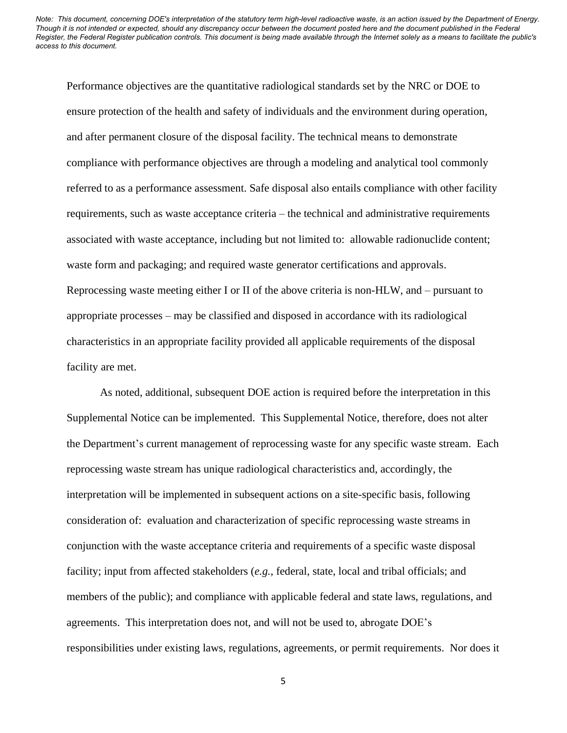Performance objectives are the quantitative radiological standards set by the NRC or DOE to ensure protection of the health and safety of individuals and the environment during operation, and after permanent closure of the disposal facility. The technical means to demonstrate compliance with performance objectives are through a modeling and analytical tool commonly referred to as a performance assessment. Safe disposal also entails compliance with other facility requirements, such as waste acceptance criteria – the technical and administrative requirements associated with waste acceptance, including but not limited to: allowable radionuclide content; waste form and packaging; and required waste generator certifications and approvals. Reprocessing waste meeting either I or II of the above criteria is non-HLW, and – pursuant to appropriate processes – may be classified and disposed in accordance with its radiological characteristics in an appropriate facility provided all applicable requirements of the disposal facility are met.

As noted, additional, subsequent DOE action is required before the interpretation in this Supplemental Notice can be implemented. This Supplemental Notice, therefore, does not alter the Department's current management of reprocessing waste for any specific waste stream. Each reprocessing waste stream has unique radiological characteristics and, accordingly, the interpretation will be implemented in subsequent actions on a site-specific basis, following consideration of: evaluation and characterization of specific reprocessing waste streams in conjunction with the waste acceptance criteria and requirements of a specific waste disposal facility; input from affected stakeholders (*e.g.*, federal, state, local and tribal officials; and members of the public); and compliance with applicable federal and state laws, regulations, and agreements. This interpretation does not, and will not be used to, abrogate DOE's responsibilities under existing laws, regulations, agreements, or permit requirements. Nor does it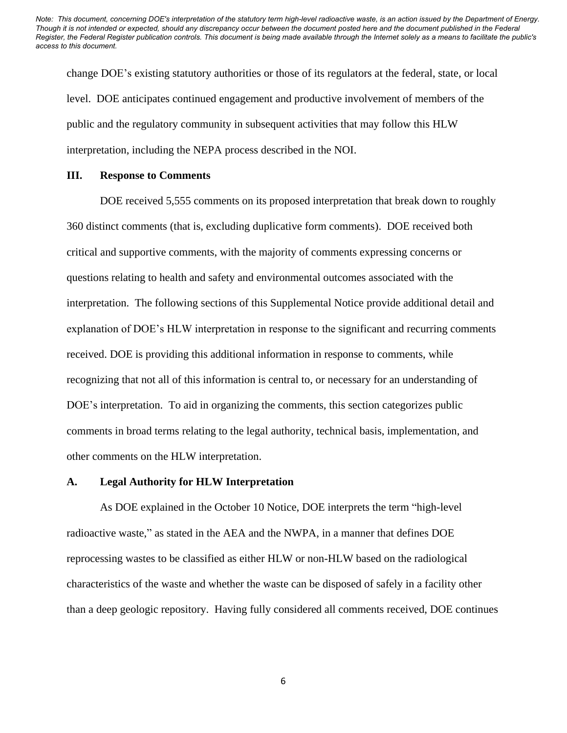change DOE's existing statutory authorities or those of its regulators at the federal, state, or local level. DOE anticipates continued engagement and productive involvement of members of the public and the regulatory community in subsequent activities that may follow this HLW interpretation, including the NEPA process described in the NOI.

#### **III. Response to Comments**

DOE received 5,555 comments on its proposed interpretation that break down to roughly 360 distinct comments (that is, excluding duplicative form comments). DOE received both critical and supportive comments, with the majority of comments expressing concerns or questions relating to health and safety and environmental outcomes associated with the interpretation. The following sections of this Supplemental Notice provide additional detail and explanation of DOE's HLW interpretation in response to the significant and recurring comments received. DOE is providing this additional information in response to comments, while recognizing that not all of this information is central to, or necessary for an understanding of DOE's interpretation. To aid in organizing the comments, this section categorizes public comments in broad terms relating to the legal authority, technical basis, implementation, and other comments on the HLW interpretation.

#### **A. Legal Authority for HLW Interpretation**

As DOE explained in the October 10 Notice, DOE interprets the term "high-level radioactive waste," as stated in the AEA and the NWPA, in a manner that defines DOE reprocessing wastes to be classified as either HLW or non-HLW based on the radiological characteristics of the waste and whether the waste can be disposed of safely in a facility other than a deep geologic repository. Having fully considered all comments received, DOE continues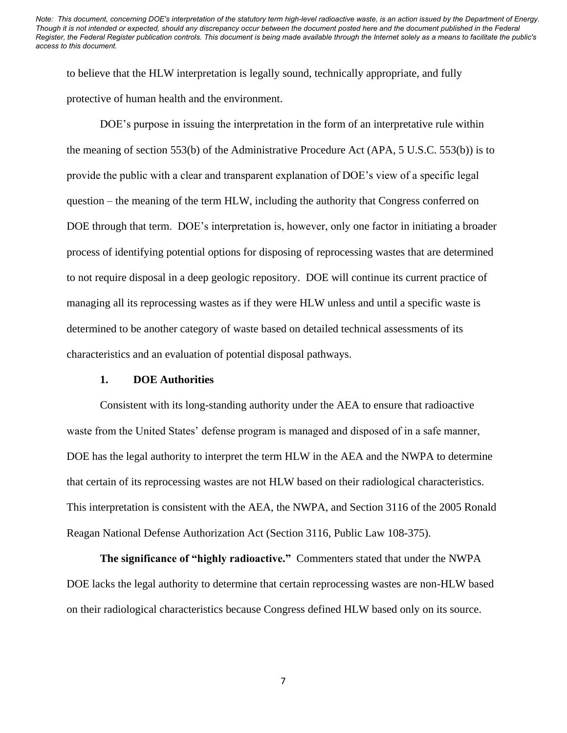to believe that the HLW interpretation is legally sound, technically appropriate, and fully protective of human health and the environment.

DOE's purpose in issuing the interpretation in the form of an interpretative rule within the meaning of section 553(b) of the Administrative Procedure Act (APA, 5 U.S.C. 553(b)) is to provide the public with a clear and transparent explanation of DOE's view of a specific legal question – the meaning of the term HLW, including the authority that Congress conferred on DOE through that term. DOE's interpretation is, however, only one factor in initiating a broader process of identifying potential options for disposing of reprocessing wastes that are determined to not require disposal in a deep geologic repository. DOE will continue its current practice of managing all its reprocessing wastes as if they were HLW unless and until a specific waste is determined to be another category of waste based on detailed technical assessments of its characteristics and an evaluation of potential disposal pathways.

#### **1. DOE Authorities**

Consistent with its long-standing authority under the AEA to ensure that radioactive waste from the United States' defense program is managed and disposed of in a safe manner, DOE has the legal authority to interpret the term HLW in the AEA and the NWPA to determine that certain of its reprocessing wastes are not HLW based on their radiological characteristics. This interpretation is consistent with the AEA, the NWPA, and Section 3116 of the 2005 Ronald Reagan National Defense Authorization Act (Section 3116, Public Law 108-375).

**The significance of "highly radioactive."** Commenters stated that under the NWPA DOE lacks the legal authority to determine that certain reprocessing wastes are non-HLW based on their radiological characteristics because Congress defined HLW based only on its source.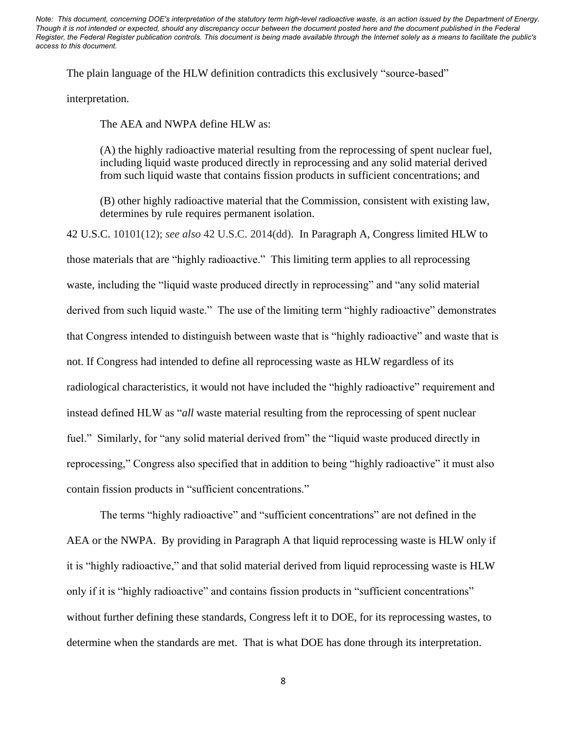The plain language of the HLW definition contradicts this exclusively "source-based"

interpretation.

The AEA and NWPA define HLW as:

(A) the highly radioactive material resulting from the reprocessing of spent nuclear fuel, including liquid waste produced directly in reprocessing and any solid material derived from such liquid waste that contains fission products in sufficient concentrations; and

(B) other highly radioactive material that the Commission, consistent with existing law, determines by rule requires permanent isolation.

42 U.S.C. 10101(12); *see also* 42 U.S.C. 2014(dd). In Paragraph A, Congress limited HLW to those materials that are "highly radioactive." This limiting term applies to all reprocessing waste, including the "liquid waste produced directly in reprocessing" and "any solid material derived from such liquid waste." The use of the limiting term "highly radioactive" demonstrates that Congress intended to distinguish between waste that is "highly radioactive" and waste that is not. If Congress had intended to define all reprocessing waste as HLW regardless of its radiological characteristics, it would not have included the "highly radioactive" requirement and instead defined HLW as "*all* waste material resulting from the reprocessing of spent nuclear fuel." Similarly, for "any solid material derived from" the "liquid waste produced directly in reprocessing," Congress also specified that in addition to being "highly radioactive" it must also contain fission products in "sufficient concentrations."

The terms "highly radioactive" and "sufficient concentrations" are not defined in the AEA or the NWPA. By providing in Paragraph A that liquid reprocessing waste is HLW only if it is "highly radioactive," and that solid material derived from liquid reprocessing waste is HLW only if it is "highly radioactive" and contains fission products in "sufficient concentrations" without further defining these standards, Congress left it to DOE, for its reprocessing wastes, to determine when the standards are met. That is what DOE has done through its interpretation.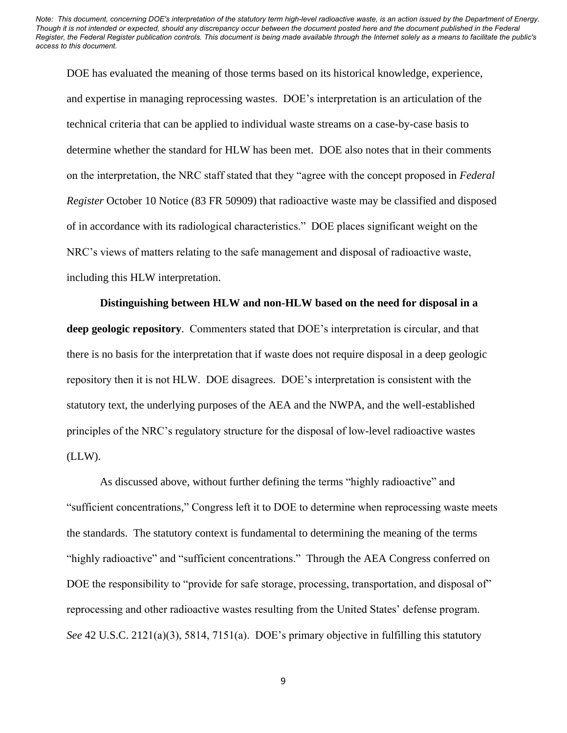DOE has evaluated the meaning of those terms based on its historical knowledge, experience, and expertise in managing reprocessing wastes. DOE's interpretation is an articulation of the technical criteria that can be applied to individual waste streams on a case-by-case basis to determine whether the standard for HLW has been met. DOE also notes that in their comments on the interpretation, the NRC staff stated that they "agree with the concept proposed in *Federal Register* October 10 Notice (83 FR 50909) that radioactive waste may be classified and disposed of in accordance with its radiological characteristics." DOE places significant weight on the NRC's views of matters relating to the safe management and disposal of radioactive waste, including this HLW interpretation.

**Distinguishing between HLW and non-HLW based on the need for disposal in a deep geologic repository**. Commenters stated that DOE's interpretation is circular, and that there is no basis for the interpretation that if waste does not require disposal in a deep geologic repository then it is not HLW. DOE disagrees. DOE's interpretation is consistent with the statutory text, the underlying purposes of the AEA and the NWPA, and the well-established principles of the NRC's regulatory structure for the disposal of low-level radioactive wastes (LLW).

As discussed above, without further defining the terms "highly radioactive" and "sufficient concentrations," Congress left it to DOE to determine when reprocessing waste meets the standards. The statutory context is fundamental to determining the meaning of the terms "highly radioactive" and "sufficient concentrations." Through the AEA Congress conferred on DOE the responsibility to "provide for safe storage, processing, transportation, and disposal of" reprocessing and other radioactive wastes resulting from the United States' defense program. *See* 42 U.S.C. 2121(a)(3), 5814, 7151(a). DOE's primary objective in fulfilling this statutory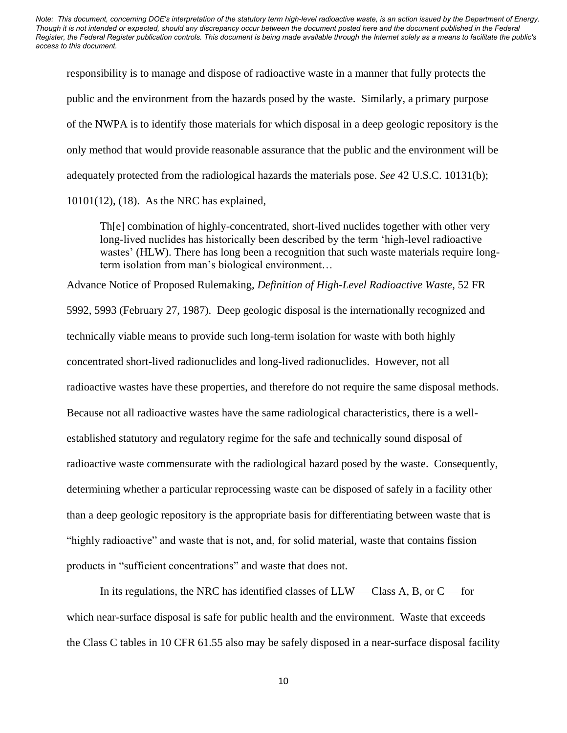responsibility is to manage and dispose of radioactive waste in a manner that fully protects the public and the environment from the hazards posed by the waste. Similarly, a primary purpose of the NWPA is to identify those materials for which disposal in a deep geologic repository is the only method that would provide reasonable assurance that the public and the environment will be adequately protected from the radiological hazards the materials pose. *See* 42 U.S.C. 10131(b); 10101(12), (18). As the NRC has explained,

Th[e] combination of highly-concentrated, short-lived nuclides together with other very long-lived nuclides has historically been described by the term 'high-level radioactive wastes' (HLW). There has long been a recognition that such waste materials require longterm isolation from man's biological environment…

Advance Notice of Proposed Rulemaking, *Definition of High-Level Radioactive Waste,* 52 FR 5992, 5993 (February 27, 1987). Deep geologic disposal is the internationally recognized and technically viable means to provide such long-term isolation for waste with both highly concentrated short-lived radionuclides and long-lived radionuclides. However, not all radioactive wastes have these properties, and therefore do not require the same disposal methods. Because not all radioactive wastes have the same radiological characteristics, there is a wellestablished statutory and regulatory regime for the safe and technically sound disposal of radioactive waste commensurate with the radiological hazard posed by the waste. Consequently, determining whether a particular reprocessing waste can be disposed of safely in a facility other than a deep geologic repository is the appropriate basis for differentiating between waste that is "highly radioactive" and waste that is not, and, for solid material, waste that contains fission products in "sufficient concentrations" and waste that does not.

In its regulations, the NRC has identified classes of  $LLW - Class A$ , B, or  $C - for$ which near-surface disposal is safe for public health and the environment. Waste that exceeds the Class C tables in 10 CFR 61.55 also may be safely disposed in a near-surface disposal facility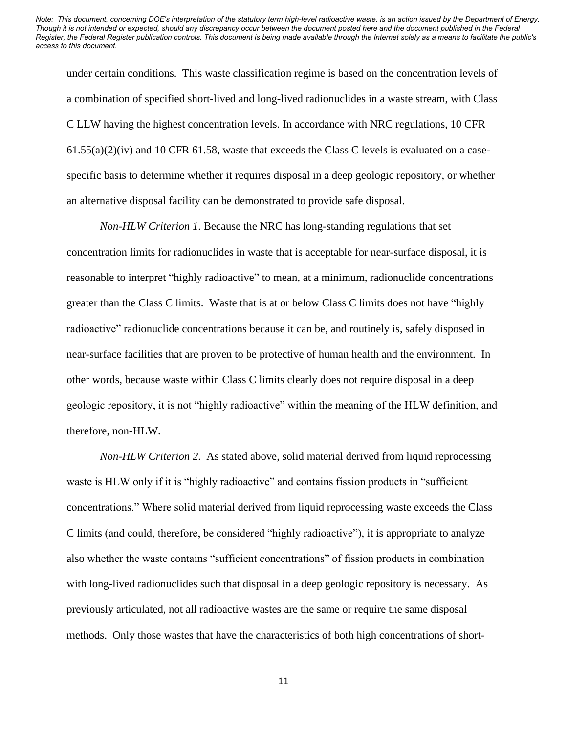under certain conditions. This waste classification regime is based on the concentration levels of a combination of specified short-lived and long-lived radionuclides in a waste stream, with Class C LLW having the highest concentration levels. In accordance with NRC regulations, 10 CFR  $61.55(a)(2)(iv)$  and 10 CFR 61.58, waste that exceeds the Class C levels is evaluated on a casespecific basis to determine whether it requires disposal in a deep geologic repository, or whether an alternative disposal facility can be demonstrated to provide safe disposal.

*Non-HLW Criterion 1*. Because the NRC has long-standing regulations that set concentration limits for radionuclides in waste that is acceptable for near-surface disposal, it is reasonable to interpret "highly radioactive" to mean, at a minimum, radionuclide concentrations greater than the Class C limits. Waste that is at or below Class C limits does not have "highly radioactive" radionuclide concentrations because it can be, and routinely is, safely disposed in near-surface facilities that are proven to be protective of human health and the environment. In other words, because waste within Class C limits clearly does not require disposal in a deep geologic repository, it is not "highly radioactive" within the meaning of the HLW definition, and therefore, non-HLW.

*Non-HLW Criterion 2*. As stated above, solid material derived from liquid reprocessing waste is HLW only if it is "highly radioactive" and contains fission products in "sufficient" concentrations." Where solid material derived from liquid reprocessing waste exceeds the Class C limits (and could, therefore, be considered "highly radioactive"), it is appropriate to analyze also whether the waste contains "sufficient concentrations" of fission products in combination with long-lived radionuclides such that disposal in a deep geologic repository is necessary. As previously articulated, not all radioactive wastes are the same or require the same disposal methods. Only those wastes that have the characteristics of both high concentrations of short-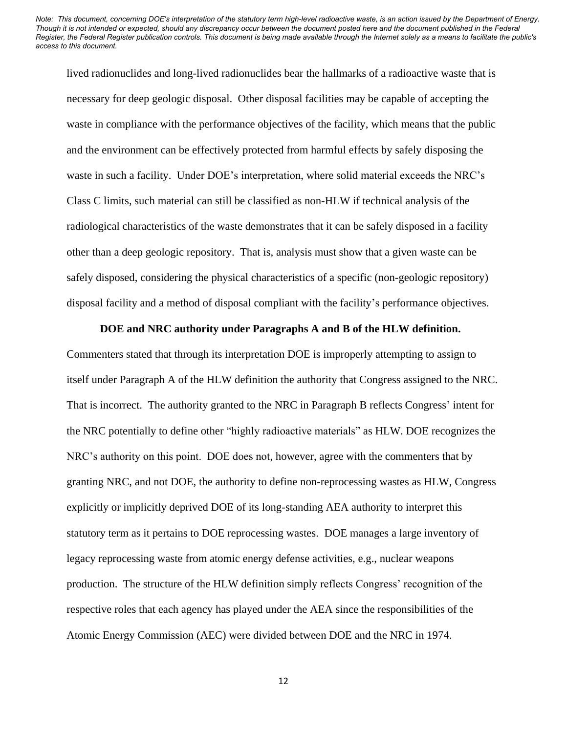lived radionuclides and long-lived radionuclides bear the hallmarks of a radioactive waste that is necessary for deep geologic disposal. Other disposal facilities may be capable of accepting the waste in compliance with the performance objectives of the facility, which means that the public and the environment can be effectively protected from harmful effects by safely disposing the waste in such a facility. Under DOE's interpretation, where solid material exceeds the NRC's Class C limits, such material can still be classified as non-HLW if technical analysis of the radiological characteristics of the waste demonstrates that it can be safely disposed in a facility other than a deep geologic repository. That is, analysis must show that a given waste can be safely disposed, considering the physical characteristics of a specific (non-geologic repository) disposal facility and a method of disposal compliant with the facility's performance objectives.

#### **DOE and NRC authority under Paragraphs A and B of the HLW definition.**

Commenters stated that through its interpretation DOE is improperly attempting to assign to itself under Paragraph A of the HLW definition the authority that Congress assigned to the NRC. That is incorrect. The authority granted to the NRC in Paragraph B reflects Congress' intent for the NRC potentially to define other "highly radioactive materials" as HLW. DOE recognizes the NRC's authority on this point. DOE does not, however, agree with the commenters that by granting NRC, and not DOE, the authority to define non-reprocessing wastes as HLW, Congress explicitly or implicitly deprived DOE of its long-standing AEA authority to interpret this statutory term as it pertains to DOE reprocessing wastes. DOE manages a large inventory of legacy reprocessing waste from atomic energy defense activities, e.g., nuclear weapons production. The structure of the HLW definition simply reflects Congress' recognition of the respective roles that each agency has played under the AEA since the responsibilities of the Atomic Energy Commission (AEC) were divided between DOE and the NRC in 1974.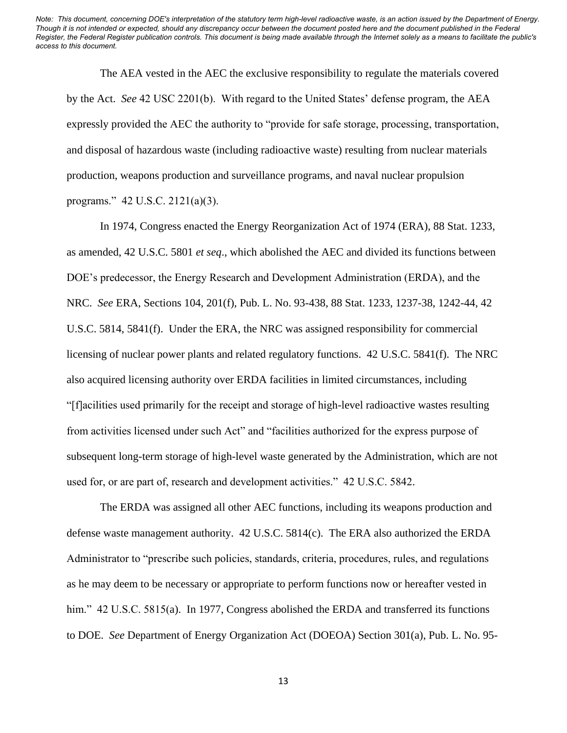The AEA vested in the AEC the exclusive responsibility to regulate the materials covered by the Act. *See* 42 USC 2201(b). With regard to the United States' defense program, the AEA expressly provided the AEC the authority to "provide for safe storage, processing, transportation, and disposal of hazardous waste (including radioactive waste) resulting from nuclear materials production, weapons production and surveillance programs, and naval nuclear propulsion programs." 42 U.S.C. 2121(a)(3).

In 1974, Congress enacted the Energy Reorganization Act of 1974 (ERA), 88 Stat. 1233, as amended, 42 U.S.C. 5801 *et seq*., which abolished the AEC and divided its functions between DOE's predecessor, the Energy Research and Development Administration (ERDA), and the NRC. *See* ERA, Sections 104, 201(f), Pub. L. No. 93-438, 88 Stat. 1233, 1237-38, 1242-44, 42 U.S.C. 5814, 5841(f). Under the ERA, the NRC was assigned responsibility for commercial licensing of nuclear power plants and related regulatory functions. 42 U.S.C. 5841(f). The NRC also acquired licensing authority over ERDA facilities in limited circumstances, including "[f]acilities used primarily for the receipt and storage of high-level radioactive wastes resulting from activities licensed under such Act" and "facilities authorized for the express purpose of subsequent long-term storage of high-level waste generated by the Administration, which are not used for, or are part of, research and development activities." 42 U.S.C. 5842.

The ERDA was assigned all other AEC functions, including its weapons production and defense waste management authority. 42 U.S.C. 5814(c). The ERA also authorized the ERDA Administrator to "prescribe such policies, standards, criteria, procedures, rules, and regulations as he may deem to be necessary or appropriate to perform functions now or hereafter vested in him." 42 U.S.C. 5815(a). In 1977, Congress abolished the ERDA and transferred its functions to DOE. *See* Department of Energy Organization Act (DOEOA) Section 301(a), Pub. L. No. 95-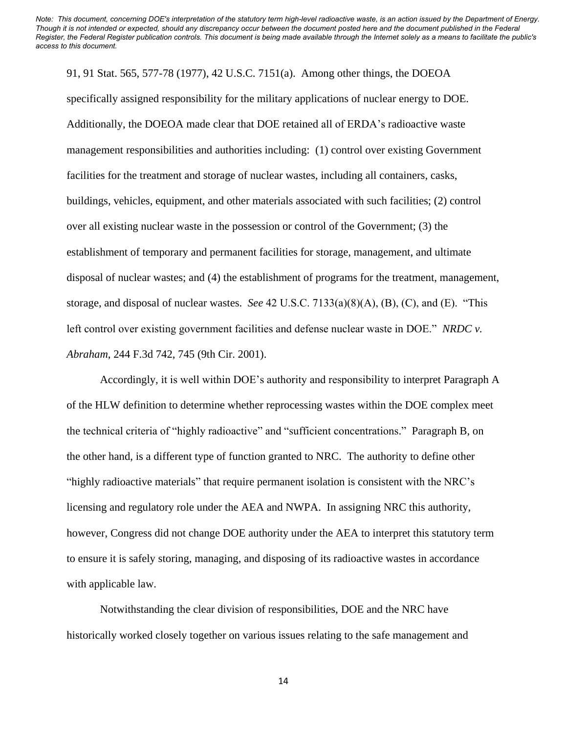91, 91 Stat. 565, 577-78 (1977), 42 U.S.C. 7151(a). Among other things, the DOEOA specifically assigned responsibility for the military applications of nuclear energy to DOE. Additionally, the DOEOA made clear that DOE retained all of ERDA's radioactive waste management responsibilities and authorities including: (1) control over existing Government facilities for the treatment and storage of nuclear wastes, including all containers, casks, buildings, vehicles, equipment, and other materials associated with such facilities; (2) control over all existing nuclear waste in the possession or control of the Government; (3) the establishment of temporary and permanent facilities for storage, management, and ultimate disposal of nuclear wastes; and (4) the establishment of programs for the treatment, management, storage, and disposal of nuclear wastes. *See* 42 U.S.C. 7133(a)(8)(A), (B), (C), and (E). "This left control over existing government facilities and defense nuclear waste in DOE." *NRDC v. Abraham*, 244 F.3d 742, 745 (9th Cir. 2001).

Accordingly, it is well within DOE's authority and responsibility to interpret Paragraph A of the HLW definition to determine whether reprocessing wastes within the DOE complex meet the technical criteria of "highly radioactive" and "sufficient concentrations." Paragraph B, on the other hand, is a different type of function granted to NRC. The authority to define other "highly radioactive materials" that require permanent isolation is consistent with the NRC's licensing and regulatory role under the AEA and NWPA. In assigning NRC this authority, however, Congress did not change DOE authority under the AEA to interpret this statutory term to ensure it is safely storing, managing, and disposing of its radioactive wastes in accordance with applicable law.

Notwithstanding the clear division of responsibilities, DOE and the NRC have historically worked closely together on various issues relating to the safe management and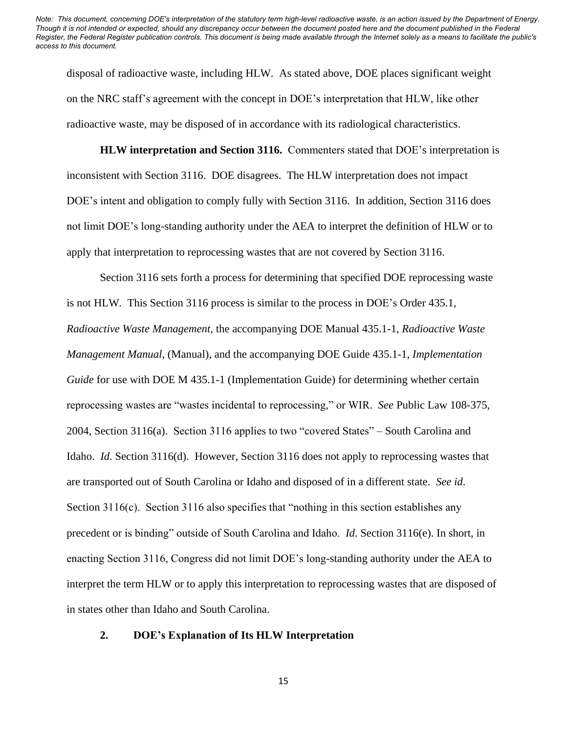disposal of radioactive waste, including HLW. As stated above, DOE places significant weight on the NRC staff's agreement with the concept in DOE's interpretation that HLW, like other radioactive waste, may be disposed of in accordance with its radiological characteristics.

**HLW interpretation and Section 3116.** Commenters stated that DOE's interpretation is inconsistent with Section 3116. DOE disagrees. The HLW interpretation does not impact DOE's intent and obligation to comply fully with Section 3116. In addition, Section 3116 does not limit DOE's long-standing authority under the AEA to interpret the definition of HLW or to apply that interpretation to reprocessing wastes that are not covered by Section 3116.

Section 3116 sets forth a process for determining that specified DOE reprocessing waste is not HLW. This Section 3116 process is similar to the process in DOE's Order 435.1, *Radioactive Waste Management*, the accompanying DOE Manual 435.1-1, *Radioactive Waste Management Manual*, (Manual), and the accompanying DOE Guide 435.1-1, *Implementation Guide* for use with DOE M 435.1-1 (Implementation Guide) for determining whether certain reprocessing wastes are "wastes incidental to reprocessing," or WIR. *See* Public Law 108-375, 2004, Section 3116(a). Section 3116 applies to two "covered States" – South Carolina and Idaho. *Id*. Section 3116(d). However, Section 3116 does not apply to reprocessing wastes that are transported out of South Carolina or Idaho and disposed of in a different state. *See id*. Section 3116(c). Section 3116 also specifies that "nothing in this section establishes any precedent or is binding" outside of South Carolina and Idaho. *Id*. Section 3116(e). In short, in enacting Section 3116, Congress did not limit DOE's long-standing authority under the AEA to interpret the term HLW or to apply this interpretation to reprocessing wastes that are disposed of in states other than Idaho and South Carolina.

#### **2. DOE's Explanation of Its HLW Interpretation**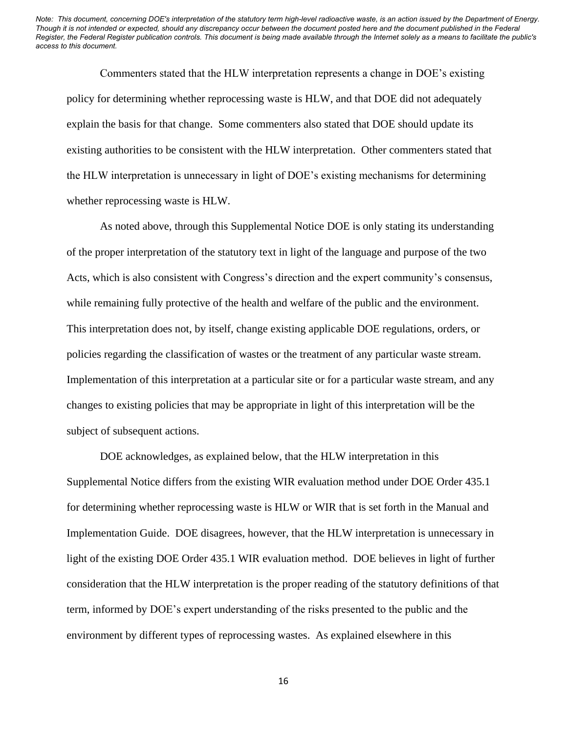Commenters stated that the HLW interpretation represents a change in DOE's existing policy for determining whether reprocessing waste is HLW, and that DOE did not adequately explain the basis for that change. Some commenters also stated that DOE should update its existing authorities to be consistent with the HLW interpretation. Other commenters stated that the HLW interpretation is unnecessary in light of DOE's existing mechanisms for determining whether reprocessing waste is HLW.

As noted above, through this Supplemental Notice DOE is only stating its understanding of the proper interpretation of the statutory text in light of the language and purpose of the two Acts, which is also consistent with Congress's direction and the expert community's consensus, while remaining fully protective of the health and welfare of the public and the environment. This interpretation does not, by itself, change existing applicable DOE regulations, orders, or policies regarding the classification of wastes or the treatment of any particular waste stream. Implementation of this interpretation at a particular site or for a particular waste stream, and any changes to existing policies that may be appropriate in light of this interpretation will be the subject of subsequent actions.

DOE acknowledges, as explained below, that the HLW interpretation in this Supplemental Notice differs from the existing WIR evaluation method under DOE Order 435.1 for determining whether reprocessing waste is HLW or WIR that is set forth in the Manual and Implementation Guide. DOE disagrees, however, that the HLW interpretation is unnecessary in light of the existing DOE Order 435.1 WIR evaluation method. DOE believes in light of further consideration that the HLW interpretation is the proper reading of the statutory definitions of that term, informed by DOE's expert understanding of the risks presented to the public and the environment by different types of reprocessing wastes. As explained elsewhere in this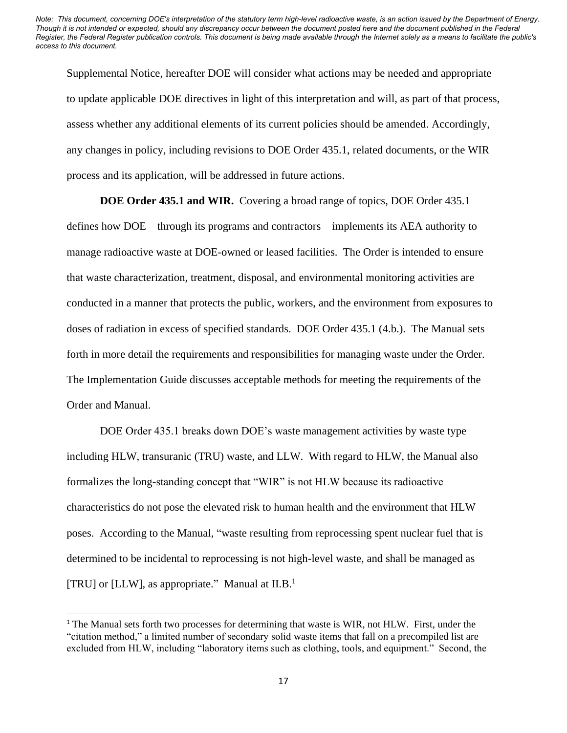Supplemental Notice, hereafter DOE will consider what actions may be needed and appropriate to update applicable DOE directives in light of this interpretation and will, as part of that process, assess whether any additional elements of its current policies should be amended. Accordingly, any changes in policy, including revisions to DOE Order 435.1, related documents, or the WIR process and its application, will be addressed in future actions.

**DOE Order 435.1 and WIR.** Covering a broad range of topics, DOE Order 435.1

defines how DOE – through its programs and contractors – implements its AEA authority to manage radioactive waste at DOE-owned or leased facilities. The Order is intended to ensure that waste characterization, treatment, disposal, and environmental monitoring activities are conducted in a manner that protects the public, workers, and the environment from exposures to doses of radiation in excess of specified standards. DOE Order 435.1 (4.b.). The Manual sets forth in more detail the requirements and responsibilities for managing waste under the Order. The Implementation Guide discusses acceptable methods for meeting the requirements of the Order and Manual.

DOE Order 435.1 breaks down DOE's waste management activities by waste type including HLW, transuranic (TRU) waste, and LLW. With regard to HLW, the Manual also formalizes the long-standing concept that "WIR" is not HLW because its radioactive characteristics do not pose the elevated risk to human health and the environment that HLW poses. According to the Manual, "waste resulting from reprocessing spent nuclear fuel that is determined to be incidental to reprocessing is not high-level waste, and shall be managed as [TRU] or [LLW], as appropriate." Manual at II.B. $<sup>1</sup>$ </sup>

<sup>&</sup>lt;sup>1</sup> The Manual sets forth two processes for determining that waste is WIR, not HLW. First, under the "citation method," a limited number of secondary solid waste items that fall on a precompiled list are excluded from HLW, including "laboratory items such as clothing, tools, and equipment." Second, the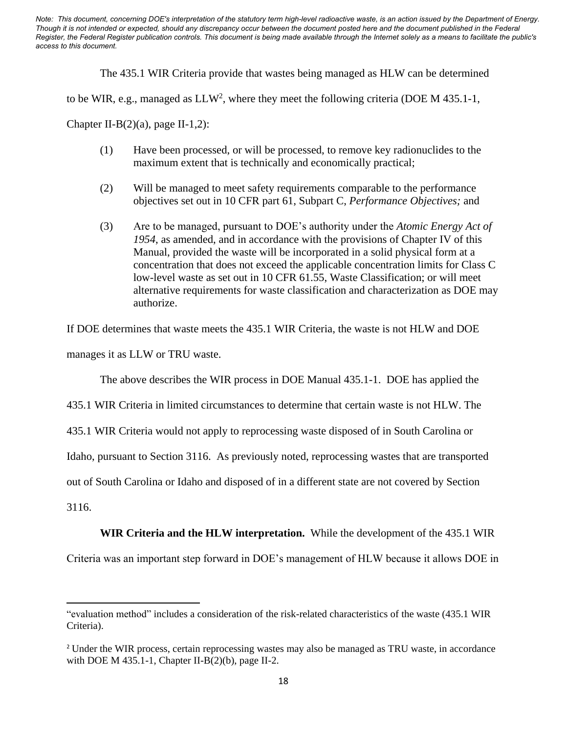The 435.1 WIR Criteria provide that wastes being managed as HLW can be determined

to be WIR, e.g., managed as  $LLW^2$ , where they meet the following criteria (DOE M 435.1-1,

Chapter II-B $(2)(a)$ , page II-1,2):

- (1) Have been processed, or will be processed, to remove key radionuclides to the maximum extent that is technically and economically practical;
- (2) Will be managed to meet safety requirements comparable to the performance objectives set out in 10 CFR part 61, Subpart C, *Performance Objectives;* and
- (3) Are to be managed, pursuant to DOE's authority under the *Atomic Energy Act of 1954*, as amended, and in accordance with the provisions of Chapter IV of this Manual, provided the waste will be incorporated in a solid physical form at a concentration that does not exceed the applicable concentration limits for Class C low-level waste as set out in 10 CFR 61.55, Waste Classification; or will meet alternative requirements for waste classification and characterization as DOE may authorize.

If DOE determines that waste meets the 435.1 WIR Criteria, the waste is not HLW and DOE

manages it as LLW or TRU waste.

The above describes the WIR process in DOE Manual 435.1-1. DOE has applied the

435.1 WIR Criteria in limited circumstances to determine that certain waste is not HLW. The

435.1 WIR Criteria would not apply to reprocessing waste disposed of in South Carolina or

Idaho, pursuant to Section 3116. As previously noted, reprocessing wastes that are transported

out of South Carolina or Idaho and disposed of in a different state are not covered by Section

3116.

# **WIR Criteria and the HLW interpretation.** While the development of the 435.1 WIR

Criteria was an important step forward in DOE's management of HLW because it allows DOE in

<sup>&</sup>quot;evaluation method" includes a consideration of the risk-related characteristics of the waste (435.1 WIR Criteria).

<sup>2</sup> Under the WIR process, certain reprocessing wastes may also be managed as TRU waste, in accordance with DOE M 435.1-1, Chapter II-B(2)(b), page II-2.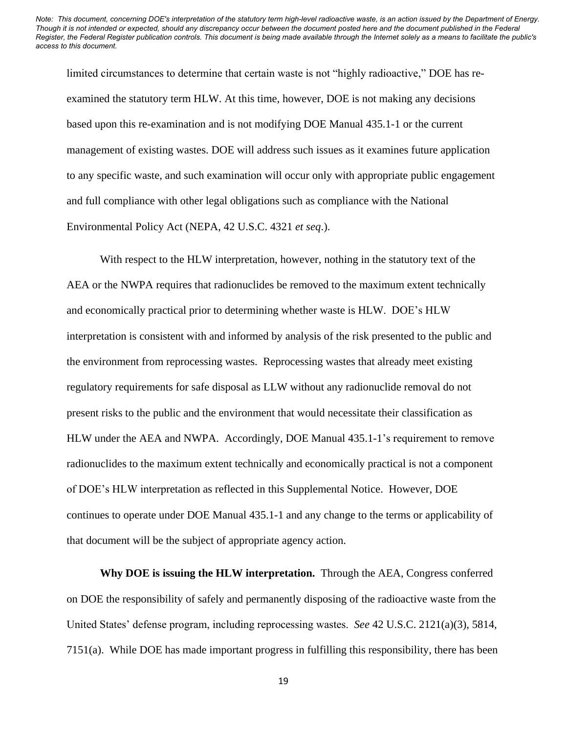limited circumstances to determine that certain waste is not "highly radioactive," DOE has reexamined the statutory term HLW. At this time, however, DOE is not making any decisions based upon this re-examination and is not modifying DOE Manual 435.1-1 or the current management of existing wastes. DOE will address such issues as it examines future application to any specific waste, and such examination will occur only with appropriate public engagement and full compliance with other legal obligations such as compliance with the National Environmental Policy Act (NEPA, 42 U.S.C. 4321 *et seq*.).

With respect to the HLW interpretation, however, nothing in the statutory text of the AEA or the NWPA requires that radionuclides be removed to the maximum extent technically and economically practical prior to determining whether waste is HLW. DOE's HLW interpretation is consistent with and informed by analysis of the risk presented to the public and the environment from reprocessing wastes. Reprocessing wastes that already meet existing regulatory requirements for safe disposal as LLW without any radionuclide removal do not present risks to the public and the environment that would necessitate their classification as HLW under the AEA and NWPA. Accordingly, DOE Manual 435.1-1's requirement to remove radionuclides to the maximum extent technically and economically practical is not a component of DOE's HLW interpretation as reflected in this Supplemental Notice. However, DOE continues to operate under DOE Manual 435.1-1 and any change to the terms or applicability of that document will be the subject of appropriate agency action.

**Why DOE is issuing the HLW interpretation.** Through the AEA, Congress conferred on DOE the responsibility of safely and permanently disposing of the radioactive waste from the United States' defense program, including reprocessing wastes. *See* 42 U.S.C. 2121(a)(3), 5814, 7151(a). While DOE has made important progress in fulfilling this responsibility, there has been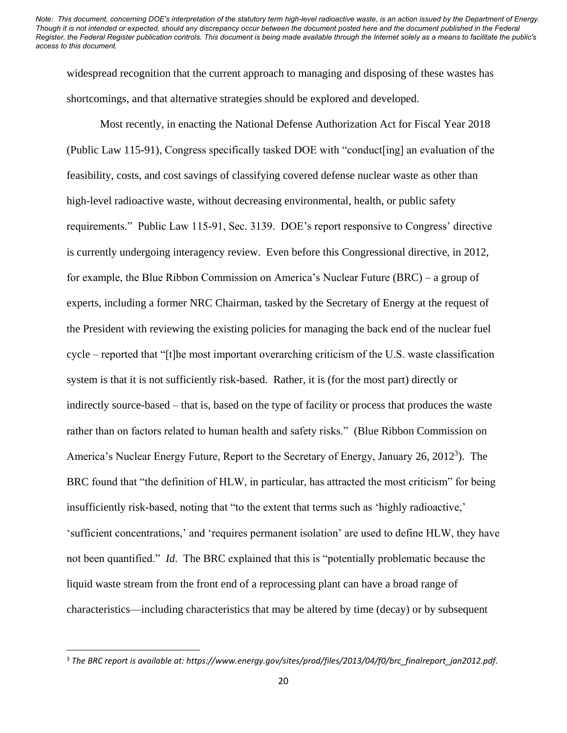widespread recognition that the current approach to managing and disposing of these wastes has shortcomings, and that alternative strategies should be explored and developed.

Most recently, in enacting the National Defense Authorization Act for Fiscal Year 2018 (Public Law 115-91), Congress specifically tasked DOE with "conduct[ing] an evaluation of the feasibility, costs, and cost savings of classifying covered defense nuclear waste as other than high-level radioactive waste, without decreasing environmental, health, or public safety requirements." Public Law 115-91, Sec. 3139. DOE's report responsive to Congress' directive is currently undergoing interagency review. Even before this Congressional directive, in 2012, for example, the Blue Ribbon Commission on America's Nuclear Future (BRC) – a group of experts, including a former NRC Chairman, tasked by the Secretary of Energy at the request of the President with reviewing the existing policies for managing the back end of the nuclear fuel cycle – reported that "[t]he most important overarching criticism of the U.S. waste classification system is that it is not sufficiently risk-based. Rather, it is (for the most part) directly or indirectly source-based – that is, based on the type of facility or process that produces the waste rather than on factors related to human health and safety risks." (Blue Ribbon Commission on America's Nuclear Energy Future, Report to the Secretary of Energy, January 26, 2012<sup>3</sup>). The BRC found that "the definition of HLW, in particular, has attracted the most criticism" for being insufficiently risk-based, noting that "to the extent that terms such as 'highly radioactive,' 'sufficient concentrations,' and 'requires permanent isolation' are used to define HLW, they have not been quantified." *Id*. The BRC explained that this is "potentially problematic because the liquid waste stream from the front end of a reprocessing plant can have a broad range of characteristics—including characteristics that may be altered by time (decay) or by subsequent

<sup>3</sup> *The BRC report is available at: https://www.energy.gov/sites/prod/files/2013/04/f0/brc\_finalreport\_jan2012.pdf*.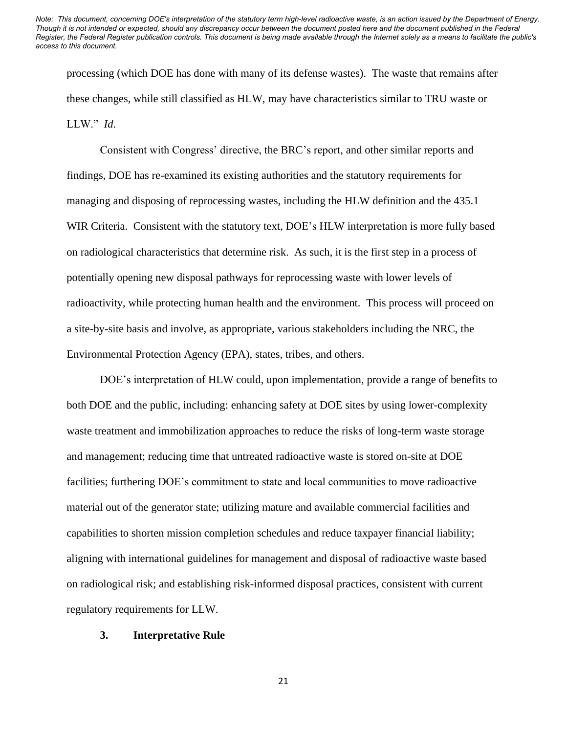processing (which DOE has done with many of its defense wastes). The waste that remains after these changes, while still classified as HLW, may have characteristics similar to TRU waste or LLW." *Id*.

Consistent with Congress' directive, the BRC's report, and other similar reports and findings, DOE has re-examined its existing authorities and the statutory requirements for managing and disposing of reprocessing wastes, including the HLW definition and the 435.1 WIR Criteria. Consistent with the statutory text, DOE's HLW interpretation is more fully based on radiological characteristics that determine risk. As such, it is the first step in a process of potentially opening new disposal pathways for reprocessing waste with lower levels of radioactivity, while protecting human health and the environment. This process will proceed on a site-by-site basis and involve, as appropriate, various stakeholders including the NRC, the Environmental Protection Agency (EPA), states, tribes, and others.

DOE's interpretation of HLW could, upon implementation, provide a range of benefits to both DOE and the public, including: enhancing safety at DOE sites by using lower-complexity waste treatment and immobilization approaches to reduce the risks of long-term waste storage and management; reducing time that untreated radioactive waste is stored on-site at DOE facilities; furthering DOE's commitment to state and local communities to move radioactive material out of the generator state; utilizing mature and available commercial facilities and capabilities to shorten mission completion schedules and reduce taxpayer financial liability; aligning with international guidelines for management and disposal of radioactive waste based on radiological risk; and establishing risk-informed disposal practices, consistent with current regulatory requirements for LLW.

#### **3. Interpretative Rule**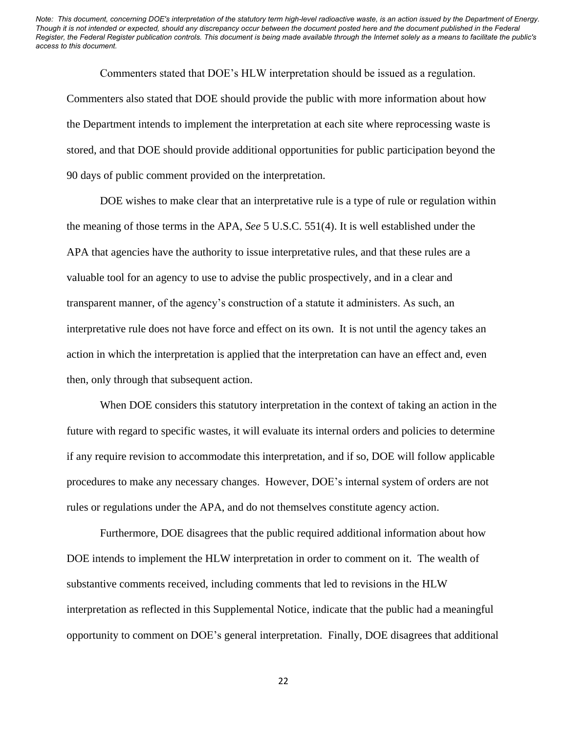Commenters stated that DOE's HLW interpretation should be issued as a regulation. Commenters also stated that DOE should provide the public with more information about how the Department intends to implement the interpretation at each site where reprocessing waste is stored, and that DOE should provide additional opportunities for public participation beyond the 90 days of public comment provided on the interpretation.

DOE wishes to make clear that an interpretative rule is a type of rule or regulation within the meaning of those terms in the APA, *See* 5 U.S.C. 551(4). It is well established under the APA that agencies have the authority to issue interpretative rules, and that these rules are a valuable tool for an agency to use to advise the public prospectively, and in a clear and transparent manner, of the agency's construction of a statute it administers. As such, an interpretative rule does not have force and effect on its own. It is not until the agency takes an action in which the interpretation is applied that the interpretation can have an effect and, even then, only through that subsequent action.

When DOE considers this statutory interpretation in the context of taking an action in the future with regard to specific wastes, it will evaluate its internal orders and policies to determine if any require revision to accommodate this interpretation, and if so, DOE will follow applicable procedures to make any necessary changes. However, DOE's internal system of orders are not rules or regulations under the APA, and do not themselves constitute agency action.

Furthermore, DOE disagrees that the public required additional information about how DOE intends to implement the HLW interpretation in order to comment on it. The wealth of substantive comments received, including comments that led to revisions in the HLW interpretation as reflected in this Supplemental Notice, indicate that the public had a meaningful opportunity to comment on DOE's general interpretation. Finally, DOE disagrees that additional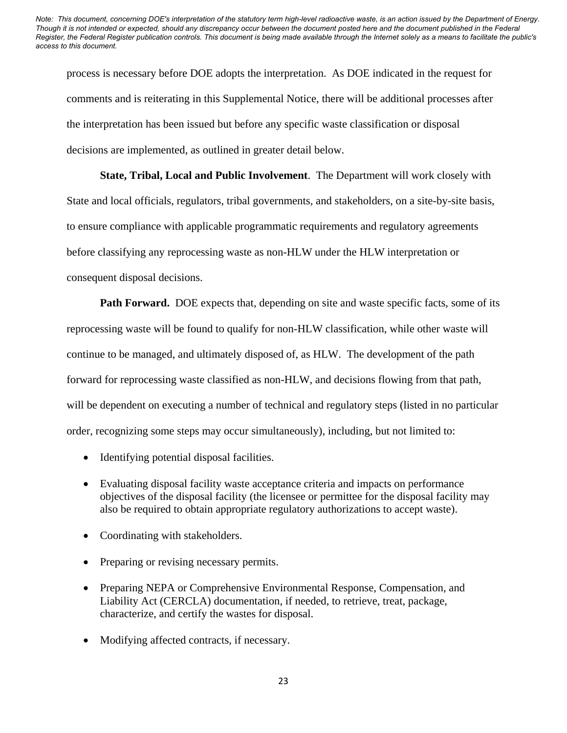process is necessary before DOE adopts the interpretation. As DOE indicated in the request for comments and is reiterating in this Supplemental Notice, there will be additional processes after the interpretation has been issued but before any specific waste classification or disposal decisions are implemented, as outlined in greater detail below.

**State, Tribal, Local and Public Involvement**. The Department will work closely with State and local officials, regulators, tribal governments, and stakeholders, on a site-by-site basis, to ensure compliance with applicable programmatic requirements and regulatory agreements before classifying any reprocessing waste as non-HLW under the HLW interpretation or consequent disposal decisions.

**Path Forward.** DOE expects that, depending on site and waste specific facts, some of its reprocessing waste will be found to qualify for non-HLW classification, while other waste will continue to be managed, and ultimately disposed of, as HLW. The development of the path forward for reprocessing waste classified as non-HLW, and decisions flowing from that path, will be dependent on executing a number of technical and regulatory steps (listed in no particular order, recognizing some steps may occur simultaneously), including, but not limited to:

- Identifying potential disposal facilities.
- Evaluating disposal facility waste acceptance criteria and impacts on performance objectives of the disposal facility (the licensee or permittee for the disposal facility may also be required to obtain appropriate regulatory authorizations to accept waste).
- Coordinating with stakeholders.
- Preparing or revising necessary permits.
- Preparing NEPA or Comprehensive Environmental Response, Compensation, and Liability Act (CERCLA) documentation, if needed, to retrieve, treat, package, characterize, and certify the wastes for disposal.
- Modifying affected contracts, if necessary.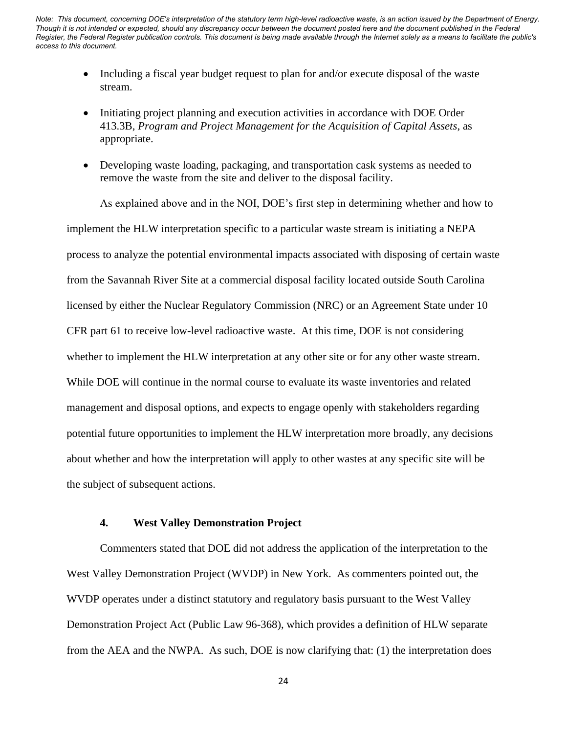- Including a fiscal year budget request to plan for and/or execute disposal of the waste stream.
- Initiating project planning and execution activities in accordance with DOE Order 413.3B, *Program and Project Management for the Acquisition of Capital Assets*, as appropriate.
- Developing waste loading, packaging, and transportation cask systems as needed to remove the waste from the site and deliver to the disposal facility.

As explained above and in the NOI, DOE's first step in determining whether and how to implement the HLW interpretation specific to a particular waste stream is initiating a NEPA process to analyze the potential environmental impacts associated with disposing of certain waste from the Savannah River Site at a commercial disposal facility located outside South Carolina licensed by either the Nuclear Regulatory Commission (NRC) or an Agreement State under 10 CFR part 61 to receive low-level radioactive waste. At this time, DOE is not considering whether to implement the HLW interpretation at any other site or for any other waste stream. While DOE will continue in the normal course to evaluate its waste inventories and related management and disposal options, and expects to engage openly with stakeholders regarding potential future opportunities to implement the HLW interpretation more broadly, any decisions about whether and how the interpretation will apply to other wastes at any specific site will be the subject of subsequent actions.

#### **4. West Valley Demonstration Project**

Commenters stated that DOE did not address the application of the interpretation to the West Valley Demonstration Project (WVDP) in New York. As commenters pointed out, the WVDP operates under a distinct statutory and regulatory basis pursuant to the West Valley Demonstration Project Act (Public Law 96-368), which provides a definition of HLW separate from the AEA and the NWPA. As such, DOE is now clarifying that: (1) the interpretation does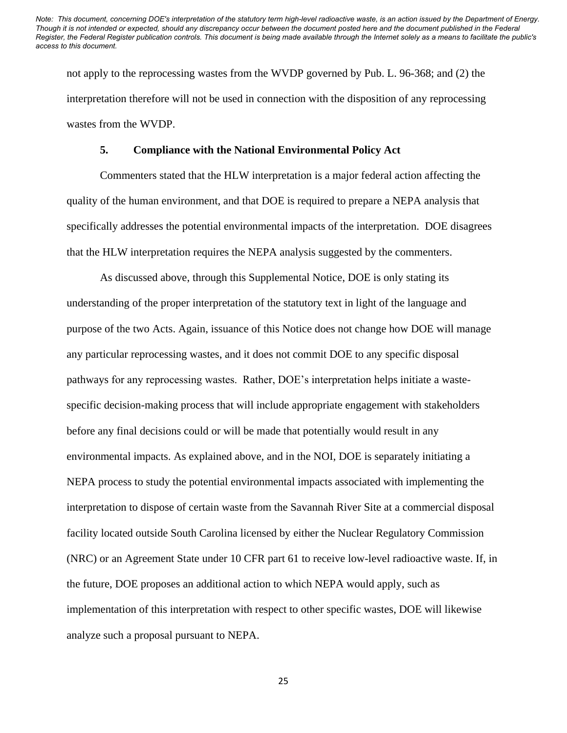not apply to the reprocessing wastes from the WVDP governed by Pub. L. 96-368; and (2) the interpretation therefore will not be used in connection with the disposition of any reprocessing wastes from the WVDP.

#### **5. Compliance with the National Environmental Policy Act**

Commenters stated that the HLW interpretation is a major federal action affecting the quality of the human environment, and that DOE is required to prepare a NEPA analysis that specifically addresses the potential environmental impacts of the interpretation. DOE disagrees that the HLW interpretation requires the NEPA analysis suggested by the commenters.

As discussed above, through this Supplemental Notice, DOE is only stating its understanding of the proper interpretation of the statutory text in light of the language and purpose of the two Acts. Again, issuance of this Notice does not change how DOE will manage any particular reprocessing wastes, and it does not commit DOE to any specific disposal pathways for any reprocessing wastes. Rather, DOE's interpretation helps initiate a wastespecific decision-making process that will include appropriate engagement with stakeholders before any final decisions could or will be made that potentially would result in any environmental impacts. As explained above, and in the NOI, DOE is separately initiating a NEPA process to study the potential environmental impacts associated with implementing the interpretation to dispose of certain waste from the Savannah River Site at a commercial disposal facility located outside South Carolina licensed by either the Nuclear Regulatory Commission (NRC) or an Agreement State under 10 CFR part 61 to receive low-level radioactive waste. If, in the future, DOE proposes an additional action to which NEPA would apply, such as implementation of this interpretation with respect to other specific wastes, DOE will likewise analyze such a proposal pursuant to NEPA.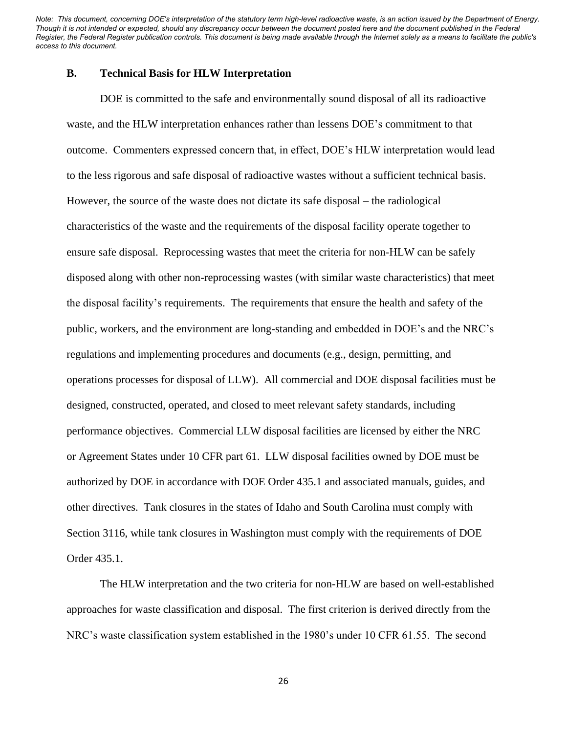## **B. Technical Basis for HLW Interpretation**

DOE is committed to the safe and environmentally sound disposal of all its radioactive waste, and the HLW interpretation enhances rather than lessens DOE's commitment to that outcome. Commenters expressed concern that, in effect, DOE's HLW interpretation would lead to the less rigorous and safe disposal of radioactive wastes without a sufficient technical basis. However, the source of the waste does not dictate its safe disposal – the radiological characteristics of the waste and the requirements of the disposal facility operate together to ensure safe disposal. Reprocessing wastes that meet the criteria for non-HLW can be safely disposed along with other non-reprocessing wastes (with similar waste characteristics) that meet the disposal facility's requirements. The requirements that ensure the health and safety of the public, workers, and the environment are long-standing and embedded in DOE's and the NRC's regulations and implementing procedures and documents (e.g., design, permitting, and operations processes for disposal of LLW). All commercial and DOE disposal facilities must be designed, constructed, operated, and closed to meet relevant safety standards, including performance objectives. Commercial LLW disposal facilities are licensed by either the NRC or Agreement States under 10 CFR part 61. LLW disposal facilities owned by DOE must be authorized by DOE in accordance with DOE Order 435.1 and associated manuals, guides, and other directives. Tank closures in the states of Idaho and South Carolina must comply with Section 3116, while tank closures in Washington must comply with the requirements of DOE Order 435.1.

The HLW interpretation and the two criteria for non-HLW are based on well-established approaches for waste classification and disposal. The first criterion is derived directly from the NRC's waste classification system established in the 1980's under 10 CFR 61.55. The second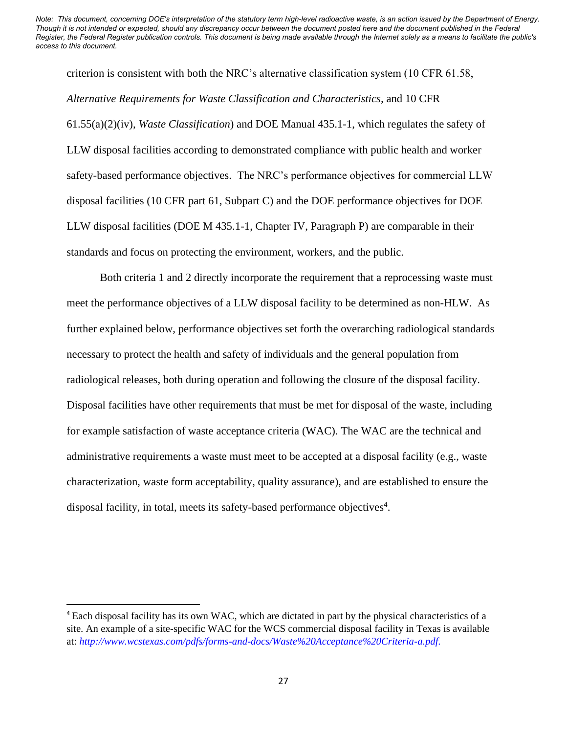criterion is consistent with both the NRC's alternative classification system (10 CFR 61.58, *Alternative Requirements for Waste Classification and Characteristics,* and 10 CFR 61.55(a)(2)(iv), *Waste Classification*) and DOE Manual 435.1-1, which regulates the safety of LLW disposal facilities according to demonstrated compliance with public health and worker safety-based performance objectives. The NRC's performance objectives for commercial LLW disposal facilities (10 CFR part 61, Subpart C) and the DOE performance objectives for DOE LLW disposal facilities (DOE M 435.1-1, Chapter IV, Paragraph P) are comparable in their standards and focus on protecting the environment, workers, and the public.

Both criteria 1 and 2 directly incorporate the requirement that a reprocessing waste must meet the performance objectives of a LLW disposal facility to be determined as non-HLW. As further explained below, performance objectives set forth the overarching radiological standards necessary to protect the health and safety of individuals and the general population from radiological releases, both during operation and following the closure of the disposal facility. Disposal facilities have other requirements that must be met for disposal of the waste, including for example satisfaction of waste acceptance criteria (WAC). The WAC are the technical and administrative requirements a waste must meet to be accepted at a disposal facility (e.g., waste characterization, waste form acceptability, quality assurance), and are established to ensure the disposal facility, in total, meets its safety-based performance objectives<sup>4</sup>.

<sup>4</sup> Each disposal facility has its own WAC, which are dictated in part by the physical characteristics of a site. An example of a site-specific WAC for the WCS commercial disposal facility in Texas is available at: *[http://www.wcstexas.com/pdfs/forms-and-docs/Waste%20Acceptance%20Criteria-a.pdf.](http://www.wcstexas.com/pdfs/forms-and-docs/Waste%20Acceptance%20Criteria-a.pdf)*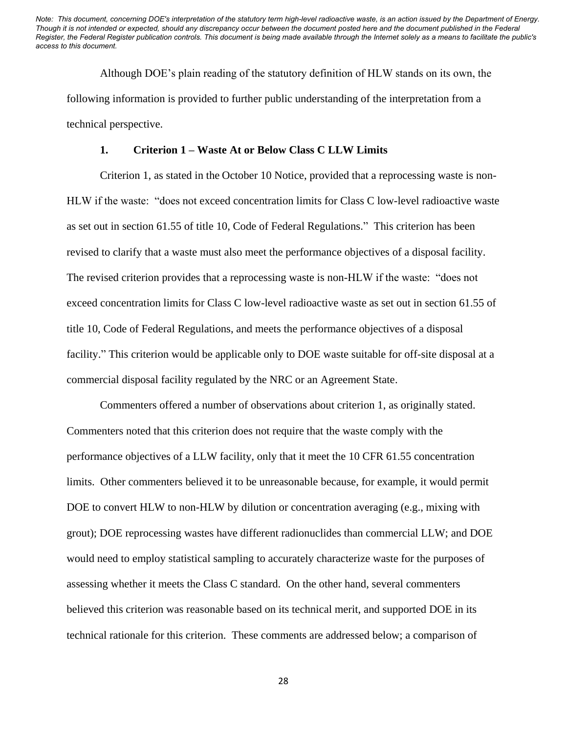Although DOE's plain reading of the statutory definition of HLW stands on its own, the following information is provided to further public understanding of the interpretation from a technical perspective.

#### **1. Criterion 1 – Waste At or Below Class C LLW Limits**

Criterion 1, as stated in the October 10 Notice, provided that a reprocessing waste is non-HLW if the waste: "does not exceed concentration limits for Class C low-level radioactive waste as set out in section 61.55 of title 10, Code of Federal Regulations." This criterion has been revised to clarify that a waste must also meet the performance objectives of a disposal facility. The revised criterion provides that a reprocessing waste is non-HLW if the waste: "does not exceed concentration limits for Class C low-level radioactive waste as set out in section 61.55 of title 10, Code of Federal Regulations, and meets the performance objectives of a disposal facility." This criterion would be applicable only to DOE waste suitable for off-site disposal at a commercial disposal facility regulated by the NRC or an Agreement State.

Commenters offered a number of observations about criterion 1, as originally stated. Commenters noted that this criterion does not require that the waste comply with the performance objectives of a LLW facility, only that it meet the 10 CFR 61.55 concentration limits. Other commenters believed it to be unreasonable because, for example, it would permit DOE to convert HLW to non-HLW by dilution or concentration averaging (e.g., mixing with grout); DOE reprocessing wastes have different radionuclides than commercial LLW; and DOE would need to employ statistical sampling to accurately characterize waste for the purposes of assessing whether it meets the Class C standard. On the other hand, several commenters believed this criterion was reasonable based on its technical merit, and supported DOE in its technical rationale for this criterion. These comments are addressed below; a comparison of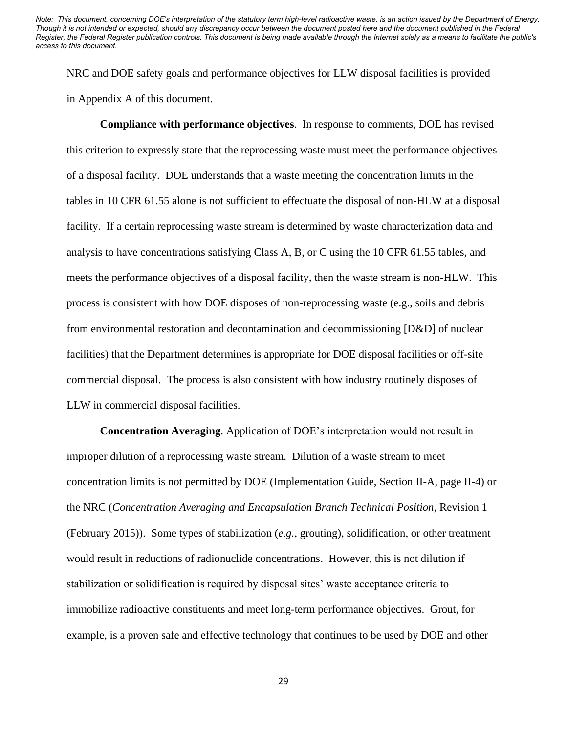NRC and DOE safety goals and performance objectives for LLW disposal facilities is provided in Appendix A of this document.

**Compliance with performance objectives**. In response to comments, DOE has revised this criterion to expressly state that the reprocessing waste must meet the performance objectives of a disposal facility. DOE understands that a waste meeting the concentration limits in the tables in 10 CFR 61.55 alone is not sufficient to effectuate the disposal of non-HLW at a disposal facility. If a certain reprocessing waste stream is determined by waste characterization data and analysis to have concentrations satisfying Class A, B, or C using the 10 CFR 61.55 tables, and meets the performance objectives of a disposal facility, then the waste stream is non-HLW. This process is consistent with how DOE disposes of non-reprocessing waste (e.g., soils and debris from environmental restoration and decontamination and decommissioning [D&D] of nuclear facilities) that the Department determines is appropriate for DOE disposal facilities or off-site commercial disposal. The process is also consistent with how industry routinely disposes of LLW in commercial disposal facilities.

**Concentration Averaging**. Application of DOE's interpretation would not result in improper dilution of a reprocessing waste stream. Dilution of a waste stream to meet concentration limits is not permitted by DOE (Implementation Guide, Section II-A, page II-4) or the NRC (*Concentration Averaging and Encapsulation Branch Technical Position*, Revision 1 (February 2015)). Some types of stabilization (*e.g.*, grouting), solidification, or other treatment would result in reductions of radionuclide concentrations. However, this is not dilution if stabilization or solidification is required by disposal sites' waste acceptance criteria to immobilize radioactive constituents and meet long-term performance objectives. Grout, for example, is a proven safe and effective technology that continues to be used by DOE and other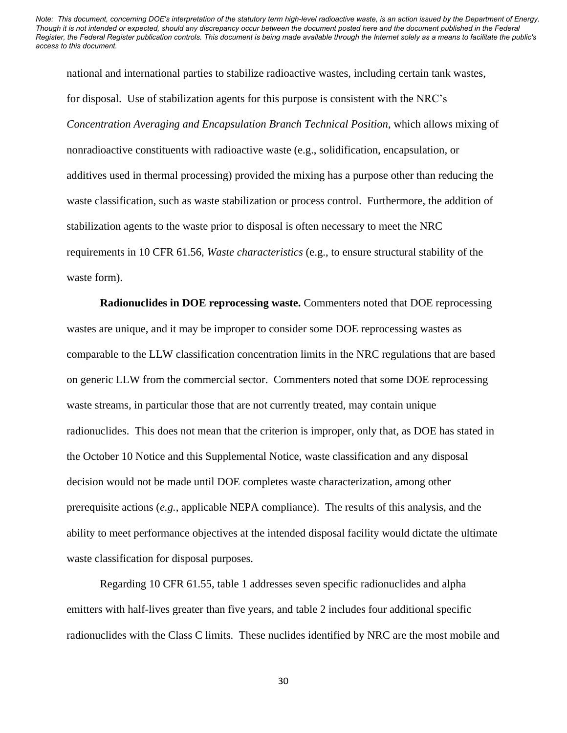national and international parties to stabilize radioactive wastes, including certain tank wastes, for disposal. Use of stabilization agents for this purpose is consistent with the NRC's *Concentration Averaging and Encapsulation Branch Technical Position*, which allows mixing of nonradioactive constituents with radioactive waste (e.g., solidification, encapsulation, or additives used in thermal processing) provided the mixing has a purpose other than reducing the waste classification, such as waste stabilization or process control. Furthermore, the addition of stabilization agents to the waste prior to disposal is often necessary to meet the NRC requirements in 10 CFR 61.56, *Waste characteristics* (e.g., to ensure structural stability of the waste form).

**Radionuclides in DOE reprocessing waste.** Commenters noted that DOE reprocessing wastes are unique, and it may be improper to consider some DOE reprocessing wastes as comparable to the LLW classification concentration limits in the NRC regulations that are based on generic LLW from the commercial sector. Commenters noted that some DOE reprocessing waste streams, in particular those that are not currently treated, may contain unique radionuclides. This does not mean that the criterion is improper, only that, as DOE has stated in the October 10 Notice and this Supplemental Notice, waste classification and any disposal decision would not be made until DOE completes waste characterization, among other prerequisite actions (*e.g.*, applicable NEPA compliance). The results of this analysis, and the ability to meet performance objectives at the intended disposal facility would dictate the ultimate waste classification for disposal purposes.

Regarding 10 CFR 61.55, table 1 addresses seven specific radionuclides and alpha emitters with half-lives greater than five years, and table 2 includes four additional specific radionuclides with the Class C limits. These nuclides identified by NRC are the most mobile and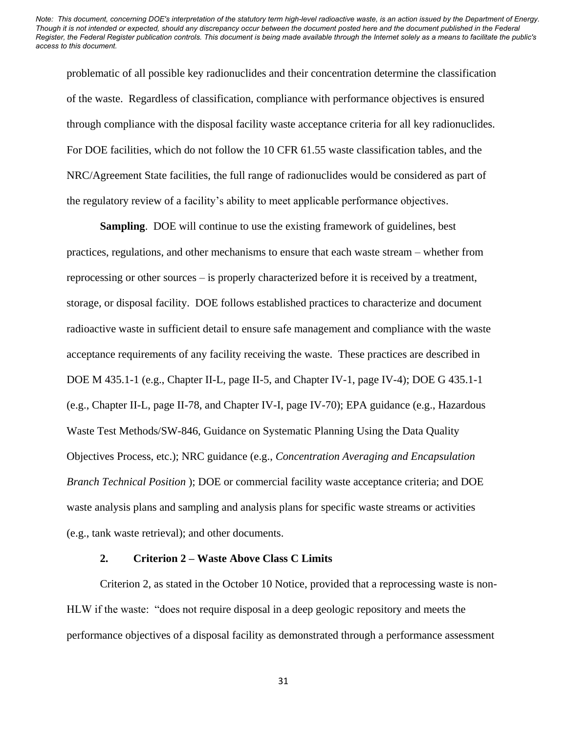problematic of all possible key radionuclides and their concentration determine the classification of the waste. Regardless of classification, compliance with performance objectives is ensured through compliance with the disposal facility waste acceptance criteria for all key radionuclides. For DOE facilities, which do not follow the 10 CFR 61.55 waste classification tables, and the NRC/Agreement State facilities, the full range of radionuclides would be considered as part of the regulatory review of a facility's ability to meet applicable performance objectives.

**Sampling.** DOE will continue to use the existing framework of guidelines, best practices, regulations, and other mechanisms to ensure that each waste stream – whether from reprocessing or other sources – is properly characterized before it is received by a treatment, storage, or disposal facility. DOE follows established practices to characterize and document radioactive waste in sufficient detail to ensure safe management and compliance with the waste acceptance requirements of any facility receiving the waste. These practices are described in DOE M 435.1-1 (e.g., Chapter II-L, page II-5, and Chapter IV-1, page IV-4); DOE G 435.1-1 (e.g., Chapter II-L, page II-78, and Chapter IV-I, page IV-70); EPA guidance (e.g., Hazardous Waste Test Methods/SW-846, Guidance on Systematic Planning Using the Data Quality Objectives Process, etc.); NRC guidance (e.g., *Concentration Averaging and Encapsulation Branch Technical Position* ); DOE or commercial facility waste acceptance criteria; and DOE waste analysis plans and sampling and analysis plans for specific waste streams or activities (e.g., tank waste retrieval); and other documents.

#### **2. Criterion 2 – Waste Above Class C Limits**

Criterion 2, as stated in the October 10 Notice, provided that a reprocessing waste is non-HLW if the waste: "does not require disposal in a deep geologic repository and meets the performance objectives of a disposal facility as demonstrated through a performance assessment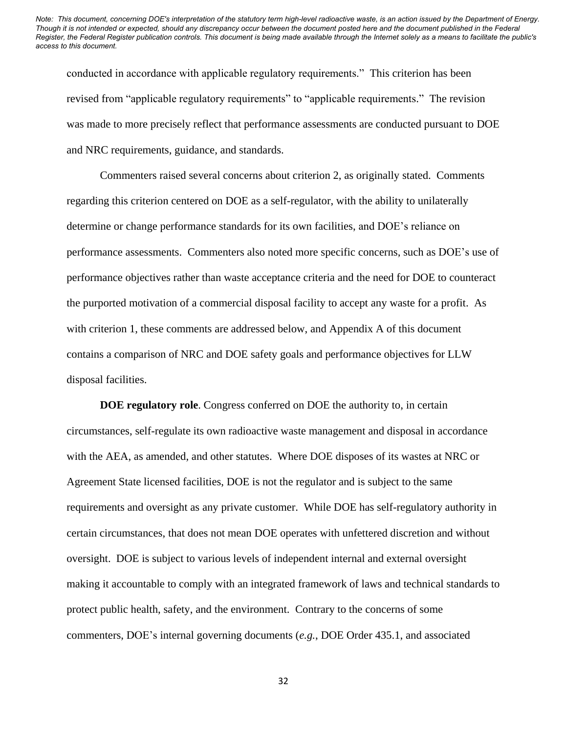conducted in accordance with applicable regulatory requirements." This criterion has been revised from "applicable regulatory requirements" to "applicable requirements." The revision was made to more precisely reflect that performance assessments are conducted pursuant to DOE and NRC requirements, guidance, and standards.

Commenters raised several concerns about criterion 2, as originally stated. Comments regarding this criterion centered on DOE as a self-regulator, with the ability to unilaterally determine or change performance standards for its own facilities, and DOE's reliance on performance assessments. Commenters also noted more specific concerns, such as DOE's use of performance objectives rather than waste acceptance criteria and the need for DOE to counteract the purported motivation of a commercial disposal facility to accept any waste for a profit. As with criterion 1, these comments are addressed below, and Appendix A of this document contains a comparison of NRC and DOE safety goals and performance objectives for LLW disposal facilities.

**DOE regulatory role**. Congress conferred on DOE the authority to, in certain circumstances, self-regulate its own radioactive waste management and disposal in accordance with the AEA, as amended, and other statutes. Where DOE disposes of its wastes at NRC or Agreement State licensed facilities, DOE is not the regulator and is subject to the same requirements and oversight as any private customer. While DOE has self-regulatory authority in certain circumstances, that does not mean DOE operates with unfettered discretion and without oversight. DOE is subject to various levels of independent internal and external oversight making it accountable to comply with an integrated framework of laws and technical standards to protect public health, safety, and the environment. Contrary to the concerns of some commenters, DOE's internal governing documents (*e.g.*, DOE Order 435.1, and associated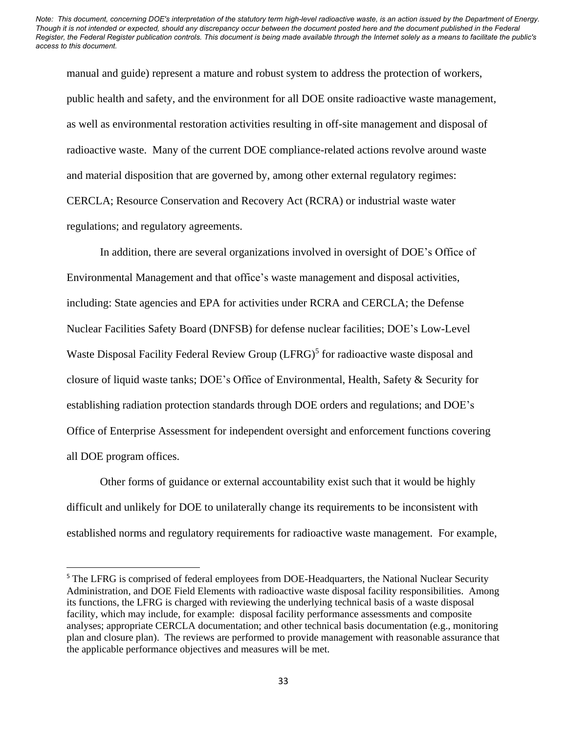manual and guide) represent a mature and robust system to address the protection of workers, public health and safety, and the environment for all DOE onsite radioactive waste management, as well as environmental restoration activities resulting in off-site management and disposal of radioactive waste. Many of the current DOE compliance-related actions revolve around waste and material disposition that are governed by, among other external regulatory regimes: CERCLA; Resource Conservation and Recovery Act (RCRA) or industrial waste water regulations; and regulatory agreements.

In addition, there are several organizations involved in oversight of DOE's Office of Environmental Management and that office's waste management and disposal activities, including: State agencies and EPA for activities under RCRA and CERCLA; the Defense Nuclear Facilities Safety Board (DNFSB) for defense nuclear facilities; DOE's Low-Level Waste Disposal Facility Federal Review Group (LFRG)<sup>5</sup> for radioactive waste disposal and closure of liquid waste tanks; DOE's Office of Environmental, Health, Safety & Security for establishing radiation protection standards through DOE orders and regulations; and DOE's Office of Enterprise Assessment for independent oversight and enforcement functions covering all DOE program offices.

Other forms of guidance or external accountability exist such that it would be highly difficult and unlikely for DOE to unilaterally change its requirements to be inconsistent with established norms and regulatory requirements for radioactive waste management. For example,

<sup>&</sup>lt;sup>5</sup> The LFRG is comprised of federal employees from DOE-Headquarters, the National Nuclear Security Administration, and DOE Field Elements with radioactive waste disposal facility responsibilities. Among its functions, the LFRG is charged with reviewing the underlying technical basis of a waste disposal facility, which may include, for example: disposal facility performance assessments and composite analyses; appropriate CERCLA documentation; and other technical basis documentation (e.g., monitoring plan and closure plan). The reviews are performed to provide management with reasonable assurance that the applicable performance objectives and measures will be met.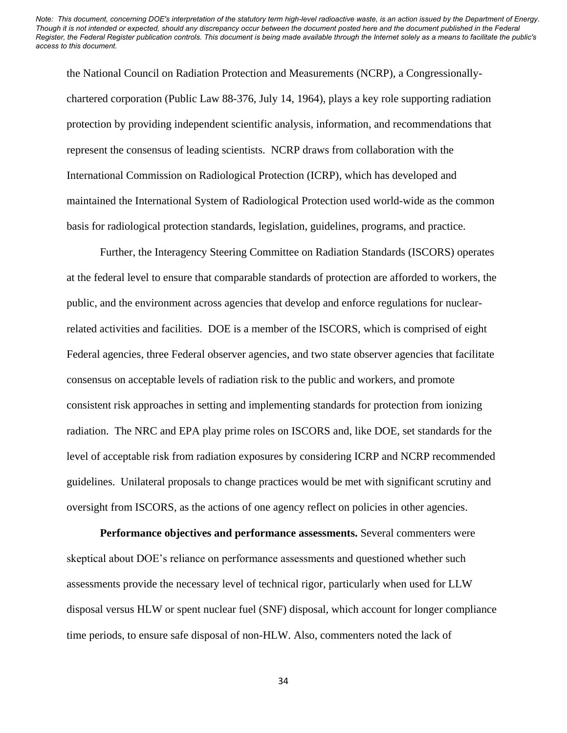the National Council on Radiation Protection and Measurements (NCRP), a Congressionallychartered corporation (Public Law 88-376, July 14, 1964), plays a key role supporting radiation protection by providing independent scientific analysis, information, and recommendations that represent the consensus of leading scientists. NCRP draws from collaboration with the International Commission on Radiological Protection (ICRP), which has developed and maintained the International System of Radiological Protection used world-wide as the common basis for radiological protection standards, legislation, guidelines, programs, and practice.

Further, the Interagency Steering Committee on Radiation Standards (ISCORS) operates at the federal level to ensure that comparable standards of protection are afforded to workers, the public, and the environment across agencies that develop and enforce regulations for nuclearrelated activities and facilities. DOE is a member of the ISCORS, which is comprised of eight Federal agencies, three Federal observer agencies, and two state observer agencies that facilitate consensus on acceptable levels of radiation risk to the public and workers, and promote consistent risk approaches in setting and implementing standards for protection from ionizing radiation. The NRC and EPA play prime roles on ISCORS and, like DOE, set standards for the level of acceptable risk from radiation exposures by considering ICRP and NCRP recommended guidelines. Unilateral proposals to change practices would be met with significant scrutiny and oversight from ISCORS, as the actions of one agency reflect on policies in other agencies.

**Performance objectives and performance assessments.** Several commenters were skeptical about DOE's reliance on performance assessments and questioned whether such assessments provide the necessary level of technical rigor, particularly when used for LLW disposal versus HLW or spent nuclear fuel (SNF) disposal, which account for longer compliance time periods, to ensure safe disposal of non-HLW. Also, commenters noted the lack of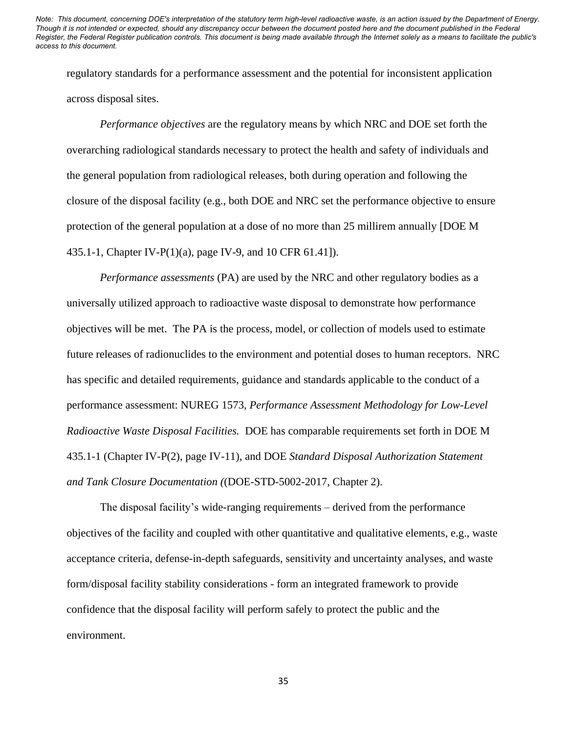regulatory standards for a performance assessment and the potential for inconsistent application across disposal sites.

*Performance objectives* are the regulatory means by which NRC and DOE set forth the overarching radiological standards necessary to protect the health and safety of individuals and the general population from radiological releases, both during operation and following the closure of the disposal facility (e.g., both DOE and NRC set the performance objective to ensure protection of the general population at a dose of no more than 25 millirem annually [DOE M 435.1-1, Chapter IV-P(1)(a), page IV-9, and 10 CFR 61.41]).

*Performance assessments* (PA) are used by the NRC and other regulatory bodies as a universally utilized approach to radioactive waste disposal to demonstrate how performance objectives will be met. The PA is the process, model, or collection of models used to estimate future releases of radionuclides to the environment and potential doses to human receptors. NRC has specific and detailed requirements, guidance and standards applicable to the conduct of a performance assessment: NUREG 1573, *Performance Assessment Methodology for Low-Level Radioactive Waste Disposal Facilities.* DOE has comparable requirements set forth in DOE M 435.1-1 (Chapter IV-P(2), page IV-11), and DOE *Standard Disposal Authorization Statement and Tank Closure Documentation (*(DOE-STD-5002-2017, Chapter 2).

The disposal facility's wide-ranging requirements – derived from the performance objectives of the facility and coupled with other quantitative and qualitative elements, e.g., waste acceptance criteria, defense-in-depth safeguards, sensitivity and uncertainty analyses, and waste form/disposal facility stability considerations - form an integrated framework to provide confidence that the disposal facility will perform safely to protect the public and the environment.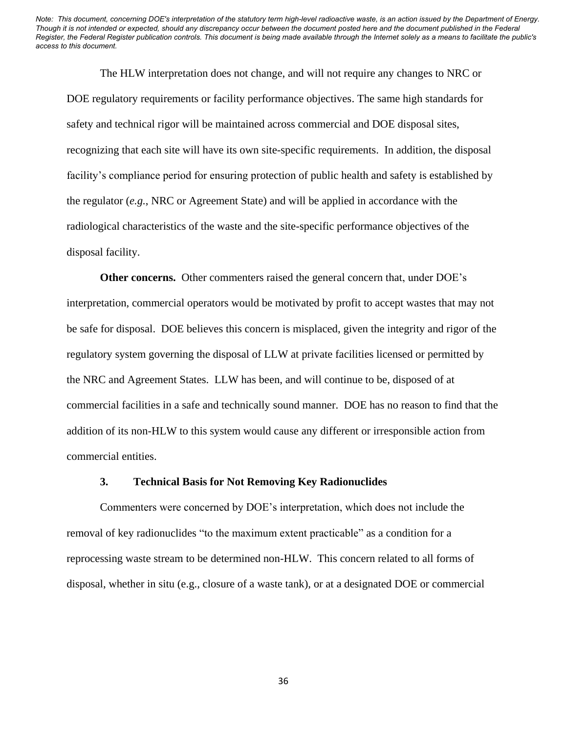The HLW interpretation does not change, and will not require any changes to NRC or DOE regulatory requirements or facility performance objectives. The same high standards for safety and technical rigor will be maintained across commercial and DOE disposal sites, recognizing that each site will have its own site-specific requirements. In addition, the disposal facility's compliance period for ensuring protection of public health and safety is established by the regulator (*e.g.*, NRC or Agreement State) and will be applied in accordance with the radiological characteristics of the waste and the site-specific performance objectives of the disposal facility.

**Other concerns.** Other commenters raised the general concern that, under DOE's interpretation, commercial operators would be motivated by profit to accept wastes that may not be safe for disposal. DOE believes this concern is misplaced, given the integrity and rigor of the regulatory system governing the disposal of LLW at private facilities licensed or permitted by the NRC and Agreement States. LLW has been, and will continue to be, disposed of at commercial facilities in a safe and technically sound manner. DOE has no reason to find that the addition of its non-HLW to this system would cause any different or irresponsible action from commercial entities.

#### **3. Technical Basis for Not Removing Key Radionuclides**

Commenters were concerned by DOE's interpretation, which does not include the removal of key radionuclides "to the maximum extent practicable" as a condition for a reprocessing waste stream to be determined non-HLW. This concern related to all forms of disposal, whether in situ (e.g., closure of a waste tank), or at a designated DOE or commercial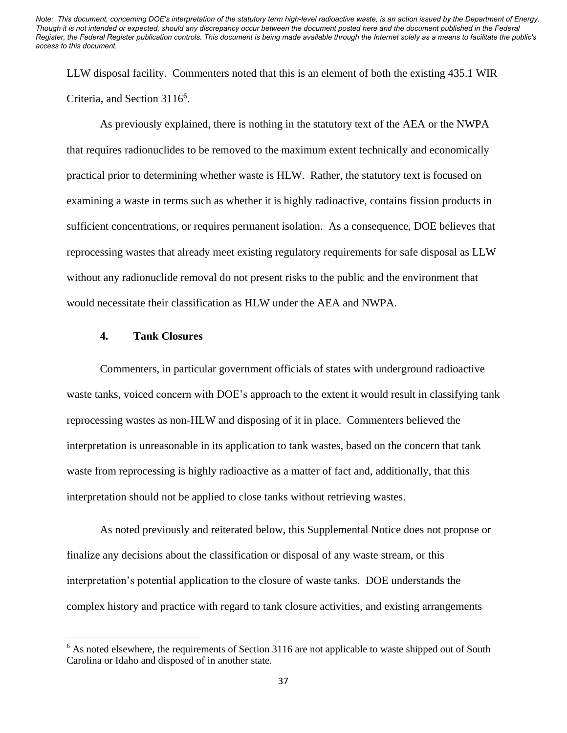LLW disposal facility. Commenters noted that this is an element of both the existing 435.1 WIR Criteria, and Section 3116<sup>6</sup>.

As previously explained, there is nothing in the statutory text of the AEA or the NWPA that requires radionuclides to be removed to the maximum extent technically and economically practical prior to determining whether waste is HLW. Rather, the statutory text is focused on examining a waste in terms such as whether it is highly radioactive, contains fission products in sufficient concentrations, or requires permanent isolation. As a consequence, DOE believes that reprocessing wastes that already meet existing regulatory requirements for safe disposal as LLW without any radionuclide removal do not present risks to the public and the environment that would necessitate their classification as HLW under the AEA and NWPA.

## **4. Tank Closures**

Commenters, in particular government officials of states with underground radioactive waste tanks, voiced concern with DOE's approach to the extent it would result in classifying tank reprocessing wastes as non-HLW and disposing of it in place. Commenters believed the interpretation is unreasonable in its application to tank wastes, based on the concern that tank waste from reprocessing is highly radioactive as a matter of fact and, additionally, that this interpretation should not be applied to close tanks without retrieving wastes.

As noted previously and reiterated below, this Supplemental Notice does not propose or finalize any decisions about the classification or disposal of any waste stream, or this interpretation's potential application to the closure of waste tanks. DOE understands the complex history and practice with regard to tank closure activities, and existing arrangements

<sup>&</sup>lt;sup>6</sup> As noted elsewhere, the requirements of Section 3116 are not applicable to waste shipped out of South Carolina or Idaho and disposed of in another state.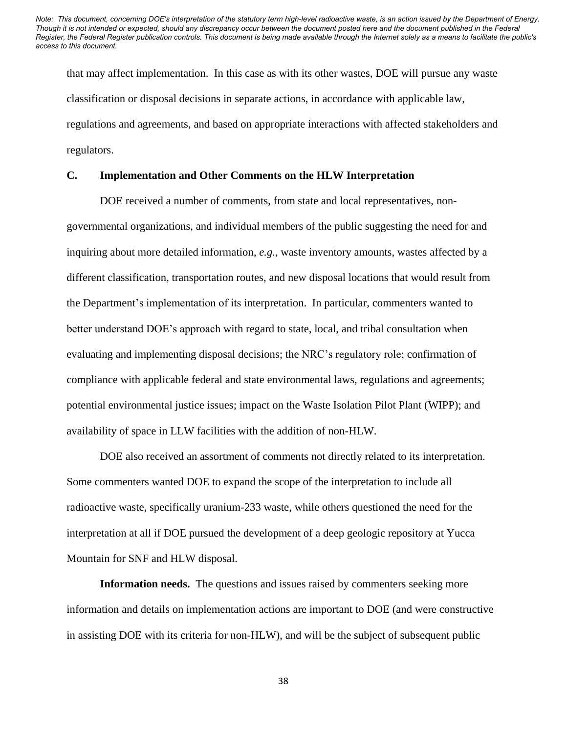that may affect implementation. In this case as with its other wastes, DOE will pursue any waste classification or disposal decisions in separate actions, in accordance with applicable law, regulations and agreements, and based on appropriate interactions with affected stakeholders and regulators.

## **C. Implementation and Other Comments on the HLW Interpretation**

DOE received a number of comments, from state and local representatives, nongovernmental organizations, and individual members of the public suggesting the need for and inquiring about more detailed information, *e.g.*, waste inventory amounts, wastes affected by a different classification, transportation routes, and new disposal locations that would result from the Department's implementation of its interpretation. In particular, commenters wanted to better understand DOE's approach with regard to state, local, and tribal consultation when evaluating and implementing disposal decisions; the NRC's regulatory role; confirmation of compliance with applicable federal and state environmental laws, regulations and agreements; potential environmental justice issues; impact on the Waste Isolation Pilot Plant (WIPP); and availability of space in LLW facilities with the addition of non-HLW.

DOE also received an assortment of comments not directly related to its interpretation. Some commenters wanted DOE to expand the scope of the interpretation to include all radioactive waste, specifically uranium-233 waste, while others questioned the need for the interpretation at all if DOE pursued the development of a deep geologic repository at Yucca Mountain for SNF and HLW disposal.

**Information needs.** The questions and issues raised by commenters seeking more information and details on implementation actions are important to DOE (and were constructive in assisting DOE with its criteria for non-HLW), and will be the subject of subsequent public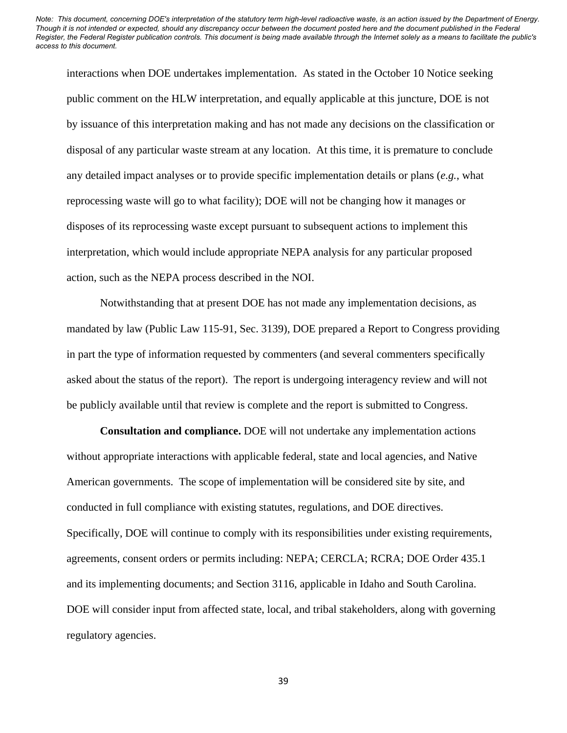interactions when DOE undertakes implementation. As stated in the October 10 Notice seeking public comment on the HLW interpretation, and equally applicable at this juncture, DOE is not by issuance of this interpretation making and has not made any decisions on the classification or disposal of any particular waste stream at any location. At this time, it is premature to conclude any detailed impact analyses or to provide specific implementation details or plans (*e.g.*, what reprocessing waste will go to what facility); DOE will not be changing how it manages or disposes of its reprocessing waste except pursuant to subsequent actions to implement this interpretation, which would include appropriate NEPA analysis for any particular proposed action, such as the NEPA process described in the NOI.

Notwithstanding that at present DOE has not made any implementation decisions, as mandated by law (Public Law 115-91, Sec. 3139), DOE prepared a Report to Congress providing in part the type of information requested by commenters (and several commenters specifically asked about the status of the report). The report is undergoing interagency review and will not be publicly available until that review is complete and the report is submitted to Congress.

**Consultation and compliance.** DOE will not undertake any implementation actions without appropriate interactions with applicable federal, state and local agencies, and Native American governments. The scope of implementation will be considered site by site, and conducted in full compliance with existing statutes, regulations, and DOE directives. Specifically, DOE will continue to comply with its responsibilities under existing requirements, agreements, consent orders or permits including: NEPA; CERCLA; RCRA; DOE Order 435.1 and its implementing documents; and Section 3116, applicable in Idaho and South Carolina. DOE will consider input from affected state, local, and tribal stakeholders, along with governing regulatory agencies.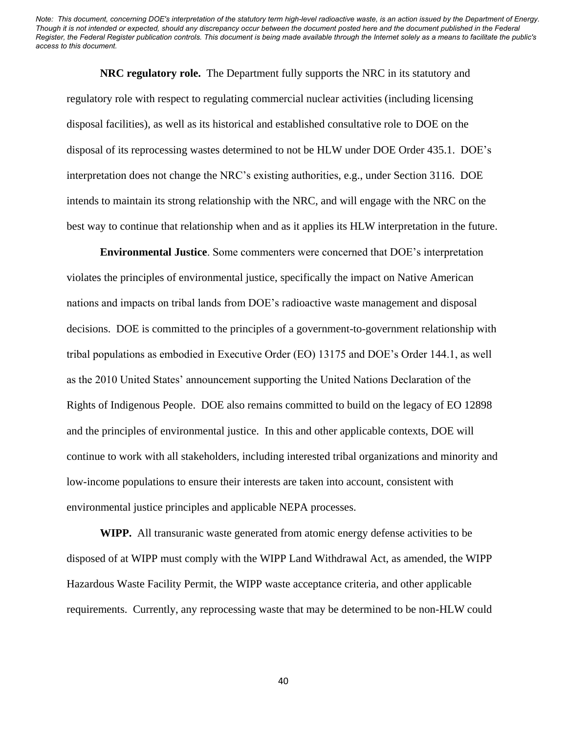**NRC regulatory role.** The Department fully supports the NRC in its statutory and regulatory role with respect to regulating commercial nuclear activities (including licensing disposal facilities), as well as its historical and established consultative role to DOE on the disposal of its reprocessing wastes determined to not be HLW under DOE Order 435.1. DOE's interpretation does not change the NRC's existing authorities, e.g., under Section 3116. DOE intends to maintain its strong relationship with the NRC, and will engage with the NRC on the best way to continue that relationship when and as it applies its HLW interpretation in the future.

**Environmental Justice**. Some commenters were concerned that DOE's interpretation violates the principles of environmental justice, specifically the impact on Native American nations and impacts on tribal lands from DOE's radioactive waste management and disposal decisions. DOE is committed to the principles of a government-to-government relationship with tribal populations as embodied in Executive Order (EO) 13175 and DOE's Order 144.1, as well as the 2010 United States' announcement supporting the United Nations Declaration of the Rights of Indigenous People. DOE also remains committed to build on the legacy of EO 12898 and the principles of environmental justice. In this and other applicable contexts, DOE will continue to work with all stakeholders, including interested tribal organizations and minority and low-income populations to ensure their interests are taken into account, consistent with environmental justice principles and applicable NEPA processes.

**WIPP.** All transuranic waste generated from atomic energy defense activities to be disposed of at WIPP must comply with the WIPP Land Withdrawal Act, as amended, the WIPP Hazardous Waste Facility Permit, the WIPP waste acceptance criteria, and other applicable requirements. Currently, any reprocessing waste that may be determined to be non-HLW could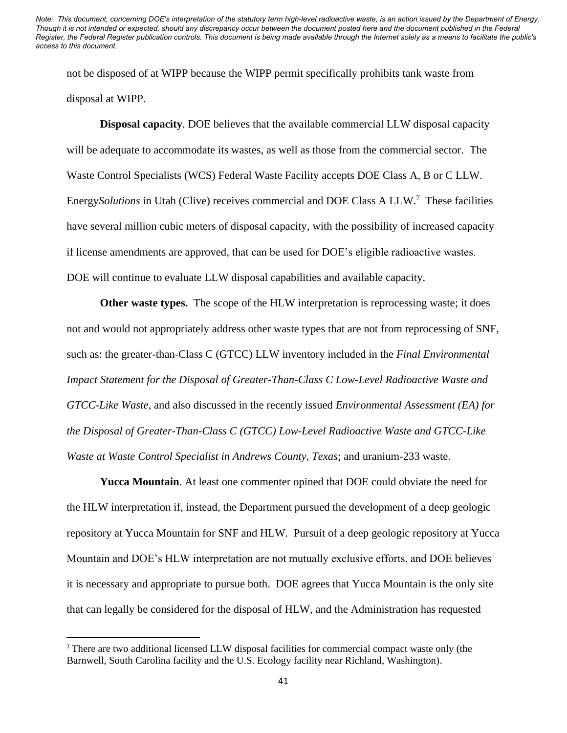not be disposed of at WIPP because the WIPP permit specifically prohibits tank waste from disposal at WIPP.

**Disposal capacity**. DOE believes that the available commercial LLW disposal capacity will be adequate to accommodate its wastes, as well as those from the commercial sector. The Waste Control Specialists (WCS) Federal Waste Facility accepts DOE Class A, B or C LLW. Energy*Solutions* in Utah (Clive) receives commercial and DOE Class A LLW. <sup>7</sup> These facilities have several million cubic meters of disposal capacity, with the possibility of increased capacity if license amendments are approved, that can be used for DOE's eligible radioactive wastes. DOE will continue to evaluate LLW disposal capabilities and available capacity.

**Other waste types.** The scope of the HLW interpretation is reprocessing waste; it does not and would not appropriately address other waste types that are not from reprocessing of SNF, such as: the greater-than-Class C (GTCC) LLW inventory included in the *Final Environmental Impact Statement for the Disposal of Greater-Than-Class C Low-Level Radioactive Waste and GTCC-Like Waste*, and also discussed in the recently issued *Environmental Assessment (EA) for the Disposal of Greater-Than-Class C (GTCC) Low-Level Radioactive Waste and GTCC-Like Waste at Waste Control Specialist in Andrews County, Texas*; and uranium-233 waste.

**Yucca Mountain**. At least one commenter opined that DOE could obviate the need for the HLW interpretation if, instead, the Department pursued the development of a deep geologic repository at Yucca Mountain for SNF and HLW. Pursuit of a deep geologic repository at Yucca Mountain and DOE's HLW interpretation are not mutually exclusive efforts, and DOE believes it is necessary and appropriate to pursue both. DOE agrees that Yucca Mountain is the only site that can legally be considered for the disposal of HLW, and the Administration has requested

<sup>7</sup> There are two additional licensed LLW disposal facilities for commercial compact waste only (the Barnwell, South Carolina facility and the U.S. Ecology facility near Richland, Washington).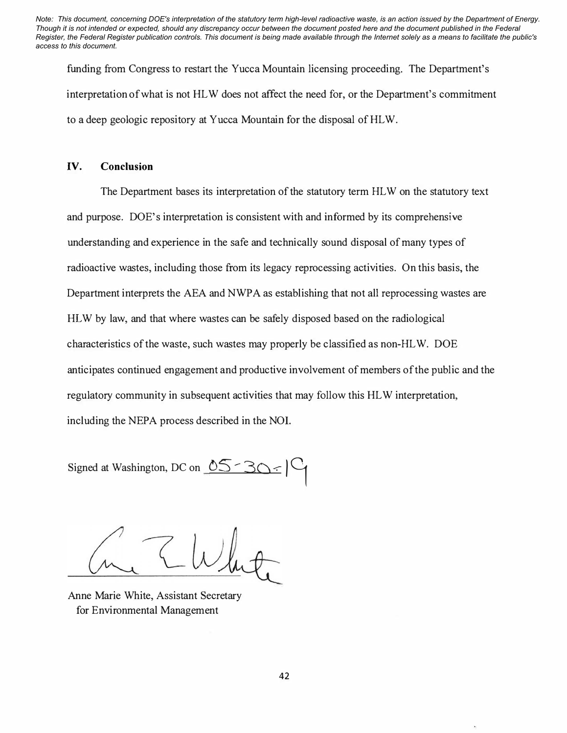funding from Congress to restart the Yucca Mountain licensing proceeding. The Department's interpretation of what is not HL W does not affect the need for, or the Department's commitment to a deep geologic repository at Yucca Mountain for the disposal of HLW.

#### **IV. Conclusion**

The Department bases its interpretation of the statutory term HLW on the statutory text and purpose. DOE's interpretation is consistent with and informed by its comprehensive understanding and experience in the safe and technically sound disposal of many types of radioactive wastes, including those from its legacy reprocessing activities. On this basis, the Department interprets the AEA and NWPA as establishing that not all reprocessing wastes are HL W by law, and that where wastes can be safely disposed based on the radiological characteristics of the waste, such wastes may properly be classified as non-HLW. DOE anticipates continued engagement and productive involvement of members of the public and the regulatory community in subsequent activities that may follow this HL W interpretation, including the NEPA process described in the NOL

Signed at Washington, DC on  $\sqrt{25 - 30}$ 

Anne Marie White, Assistant Secretary for Environmental Management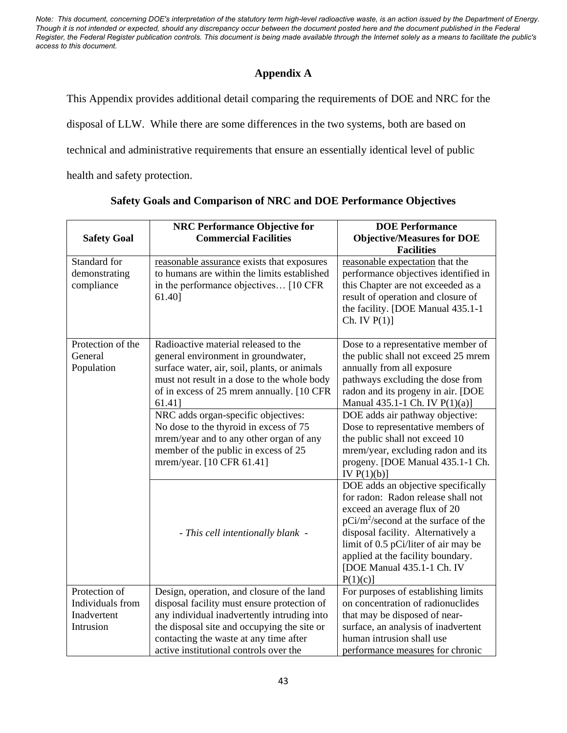# **Appendix A**

This Appendix provides additional detail comparing the requirements of DOE and NRC for the disposal of LLW. While there are some differences in the two systems, both are based on technical and administrative requirements that ensure an essentially identical level of public health and safety protection.

**Safety Goal NRC Performance Objective for Commercial Facilities DOE Performance Objective/Measures for DOE Facilities** Standard for demonstrating compliance reasonable assurance exists that exposures to humans are within the limits established in the performance objectives… [10 CFR 61.40] reasonable expectation that the performance objectives identified in this Chapter are not exceeded as a result of operation and closure of the facility. [DOE Manual 435.1-1  $Ch. IV P(1)]$ Protection of the General Population Radioactive material released to the general environment in groundwater, surface water, air, soil, plants, or animals must not result in a dose to the whole body of in excess of 25 mrem annually. [10 CFR 61.41] Dose to a representative member of the public shall not exceed 25 mrem annually from all exposure pathways excluding the dose from radon and its progeny in air. [DOE Manual 435.1-1 Ch. IV P(1)(a)] NRC adds organ-specific objectives: No dose to the thyroid in excess of 75 mrem/year and to any other organ of any member of the public in excess of 25 mrem/year. [10 CFR 61.41] DOE adds air pathway objective: Dose to representative members of the public shall not exceed 10 mrem/year, excluding radon and its progeny. [DOE Manual 435.1-1 Ch. IV  $P(1)(b)$ ] *- This cell intentionally blank -* DOE adds an objective specifically for radon: Radon release shall not exceed an average flux of 20 pCi/m<sup>2</sup>/second at the surface of the disposal facility. Alternatively a limit of 0.5 pCi/liter of air may be applied at the facility boundary. [DOE Manual 435.1-1 Ch. IV  $P(1)(c)$ ] Protection of Individuals from Inadvertent Intrusion Design, operation, and closure of the land disposal facility must ensure protection of any individual inadvertently intruding into the disposal site and occupying the site or contacting the waste at any time after active institutional controls over the For purposes of establishing limits on concentration of radionuclides that may be disposed of nearsurface, an analysis of inadvertent human intrusion shall use performance measures for chronic

|  | Safety Goals and Comparison of NRC and DOE Performance Objectives |  |
|--|-------------------------------------------------------------------|--|
|  |                                                                   |  |